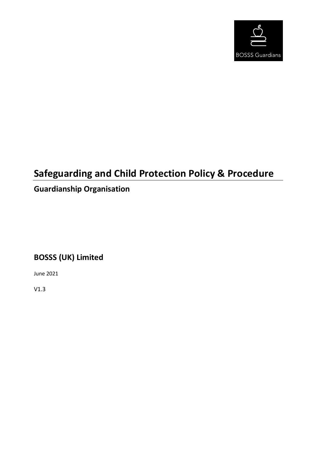

# **Safeguarding and Child Protection Policy & Procedure**

# **Guardianship Organisation**

## **BOSSS (UK) Limited**

June 2021

V1.3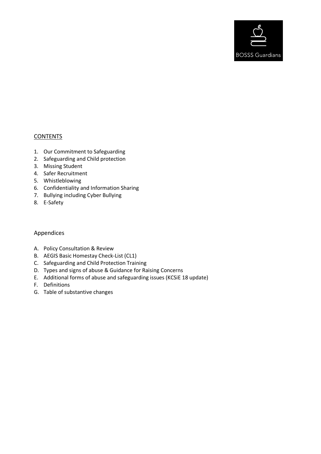

## **CONTENTS**

- 1. Our Commitment to Safeguarding
- 2. Safeguarding and Child protection
- 3. Missing Student
- 4. Safer Recruitment
- 5. Whistleblowing
- 6. Confidentiality and Information Sharing
- 7. Bullying including Cyber Bullying
- 8. E-Safety

## Appendices

- A. Policy Consultation & Review
- B. AEGIS Basic Homestay Check-List (CL1)
- C. Safeguarding and Child Protection Training
- D. Types and signs of abuse & Guidance for Raising Concerns
- E. Additional forms of abuse and safeguarding issues (KCSiE 18 update)
- F. Definitions
- G. Table of substantive changes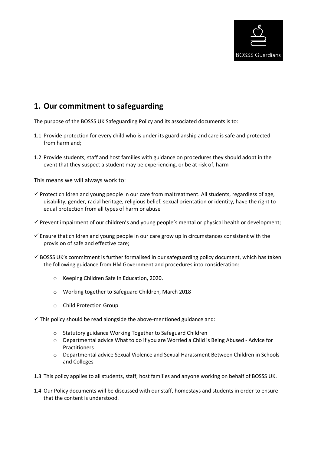

## **1. Our commitment to safeguarding**

The purpose of the BOSSS UK Safeguarding Policy and its associated documents is to:

- 1.1 Provide protection for every child who is under its guardianship and care is safe and protected from harm and;
- 1.2 Provide students, staff and host families with guidance on procedures they should adopt in the event that they suspect a student may be experiencing, or be at risk of, harm

This means we will always work to:

- $\checkmark$  Protect children and young people in our care from maltreatment. All students, regardless of age, disability, gender, racial heritage, religious belief, sexual orientation or identity, have the right to equal protection from all types of harm or abuse
- $\checkmark$  Prevent impairment of our children's and young people's mental or physical health or development;
- $\checkmark$  Ensure that children and young people in our care grow up in circumstances consistent with the provision of safe and effective care;
- $\checkmark$  BOSSS UK's commitment is further formalised in our safeguarding policy document, which has taken the following guidance from HM Government and procedures into consideration:
	- o Keeping Children Safe in Education, 2020.
	- o Working together to Safeguard Children, March 2018
	- o Child Protection Group

 $\checkmark$  This policy should be read alongside the above-mentioned guidance and:

- o Statutory guidance Working Together to Safeguard Children
- o Departmental advice What to do if you are Worried a Child is Being Abused Advice for **Practitioners**
- o Departmental advice Sexual Violence and Sexual Harassment Between Children in Schools and Colleges
- 1.3 This policy applies to all students, staff, host families and anyone working on behalf of BOSSS UK.
- 1.4 Our Policy documents will be discussed with our staff, homestays and students in order to ensure that the content is understood.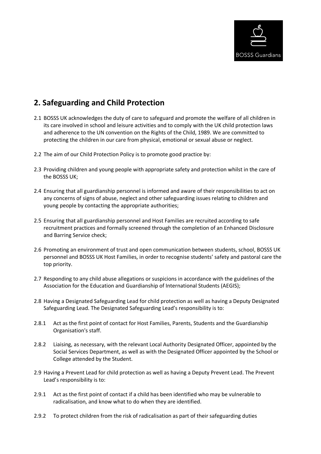

## **2. Safeguarding and Child Protection**

- 2.1 BOSSS UK acknowledges the duty of care to safeguard and promote the welfare of all children in its care involved in school and leisure activities and to comply with the UK child protection laws and adherence to the UN convention on the Rights of the Child, 1989. We are committed to protecting the children in our care from physical, emotional or sexual abuse or neglect.
- 2.2 The aim of our Child Protection Policy is to promote good practice by:
- 2.3 Providing children and young people with appropriate safety and protection whilst in the care of the BOSSS UK;
- 2.4 Ensuring that all guardianship personnel is informed and aware of their responsibilities to act on any concerns of signs of abuse, neglect and other safeguarding issues relating to children and young people by contacting the appropriate authorities;
- 2.5 Ensuring that all guardianship personnel and Host Families are recruited according to safe recruitment practices and formally screened through the completion of an Enhanced Disclosure and Barring Service check;
- 2.6 Promoting an environment of trust and open communication between students, school, BOSSS UK personnel and BOSSS UK Host Families, in order to recognise students' safety and pastoral care the top priority.
- 2.7 Responding to any child abuse allegations or suspicions in accordance with the guidelines of the Association for the Education and Guardianship of International Students (AEGIS);
- 2.8 Having a Designated Safeguarding Lead for child protection as well as having a Deputy Designated Safeguarding Lead. The Designated Safeguarding Lead's responsibility is to:
- 2.8.1 Act as the first point of contact for Host Families, Parents, Students and the Guardianship Organisation's staff.
- 2.8.2 Liaising, as necessary, with the relevant Local Authority Designated Officer, appointed by the Social Services Department, as well as with the Designated Officer appointed by the School or College attended by the Student.
- 2.9 Having a Prevent Lead for child protection as well as having a Deputy Prevent Lead. The Prevent Lead's responsibility is to:
- 2.9.1 Act as the first point of contact if a child has been identified who may be vulnerable to radicalisation, and know what to do when they are identified.
- 2.9.2 To protect children from the risk of radicalisation as part of their safeguarding duties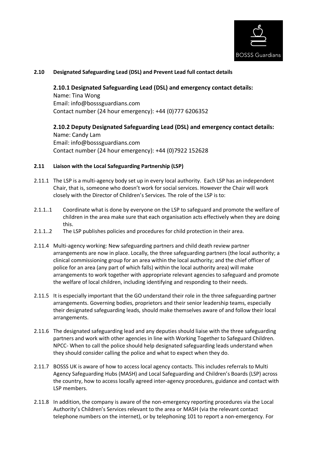

#### **2.10 Designated Safeguarding Lead (DSL) and Prevent Lead full contact details**

#### **2.10.1 Designated Safeguarding Lead (DSL) and emergency contact details:**

Name: Tina Wong Email: info@bosssguardians.com Contact number (24 hour emergency): +44 (0)777 6206352

## **2.10.2 Deputy Designated Safeguarding Lead (DSL) and emergency contact details:**

Name: Candy Lam Email: info@bosssguardians.com Contact number (24 hour emergency): +44 (0)7922 152628

#### **2.11 Liaison with the Local Safeguarding Partnership (LSP)**

- 2.11.1 The LSP is a multi-agency body set up in every local authority. Each LSP has an independent Chair, that is, someone who doesn't work for social services. However the Chair will work closely with the Director of Children's Services. The role of the LSP is to:
- 2.1.1..1 Coordinate what is done by everyone on the LSP to safeguard and promote the welfare of children in the area make sure that each organisation acts effectively when they are doing this.
- 2.1.1..2 The LSP publishes policies and procedures for child protection in their area.
- 2.11.4 Multi-agency working: New safeguarding partners and child death review partner arrangements are now in place. Locally, the three safeguarding partners (the local authority; a clinical commissioning group for an area within the local authority; and the chief officer of police for an area (any part of which falls) within the local authority area) will make arrangements to work together with appropriate relevant agencies to safeguard and promote the welfare of local children, including identifying and responding to their needs.
- 2.11.5 It is especially important that the GO understand their role in the three safeguarding partner arrangements. Governing bodies, proprietors and their senior leadership teams, especially their designated safeguarding leads, should make themselves aware of and follow their local arrangements.
- 2.11.6 The designated safeguarding lead and any deputies should liaise with the three safeguarding partners and work with other agencies in line with Working Together to Safeguard Children. NPCC- When to call the police should help designated safeguarding leads understand when they should consider calling the police and what to expect when they do.
- 2.11.7 BOSSS UK is aware of how to access local agency contacts. This includes referrals to Multi Agency Safeguarding Hubs (MASH) and Local Safeguarding and Children's Boards (LSP) across the country, how to access locally agreed inter-agency procedures, guidance and contact with LSP members.
- 2.11.8 In addition, the company is aware of the non-emergency reporting procedures via the Local Authority's Children's Services relevant to the area or MASH (via the relevant contact telephone numbers on the internet), or by telephoning 101 to report a non-emergency. For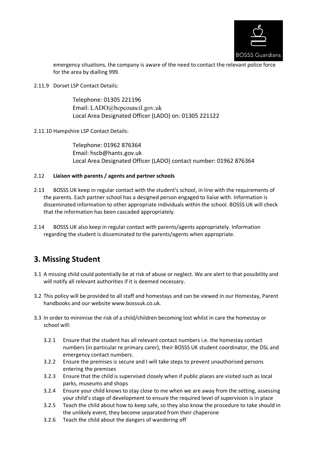

emergency situations, the company is aware of the need to contact the relevant police force for the area by dialling 999.

2.11.9 Dorset LSP Contact Details:

Telephone: 01305 221196 Email: LADO@bcpcouncil.gov.uk Local Area Designated Officer (LADO) on: 01305 221122

2.11.10 Hampshire LSP Contact Details:

Telephone: 01962 876364 Email: hscb@hants.gov.uk Local Area Designated Officer (LADO) contact number: 01962 876364

#### 2.12 **Liaison with parents / agents and partner schools**

- 2.13 BOSSS UK keep in regular contact with the student's school, in line with the requirements of the parents. Each partner school has a designed person engaged to liaise with. Information is disseminated information to other appropriate individuals within the school. BOSSS UK will check that the information has been cascaded appropriately.
- 2.14 BOSSS UK also keep in regular contact with parents/agents appropriately. Information regarding the student is disseminated to the parents/agents when appropriate.

## **3. Missing Student**

- 3.1 A missing child could potentially be at risk of abuse or neglect. We are alert to that possibility and will notify all relevant authorities if it is deemed necessary.
- 3.2 This policy will be provided to all staff and homestays and can be viewed in our Homestay, Parent handbooks and our website www.bosssuk.co.uk.
- 3.3 In order to minimise the risk of a child/children becoming lost whilst in care the homestay or school will:
	- 3.2.1 Ensure that the student has all relevant contact numbers i.e. the homestay contact numbers (in particular re primary carer), their BOSSS UK student coordinator, the DSL and emergency contact numbers.
	- 3.2.2 Ensure the premises is secure and I will take steps to prevent unauthorised persons entering the premises
	- 3.2.3 Ensure that the child is supervised closely when if public places are visited such as local parks, museums and shops
	- 3.2.4 Ensure your child knows to stay close to me when we are away from the setting, assessing your child's stage of development to ensure the required level of supervision is in place
	- 3.2.5 Teach the child about how to keep safe, so they also know the procedure to take should in the unlikely event, they become separated from their chaperone
	- 3.2.6 Teach the child about the dangers of wandering off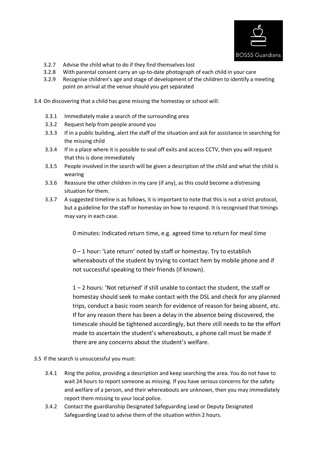

- 3.2.7 Advise the child what to do if they find themselves lost
- 3.2.8 With parental consent carry an up-to-date photograph of each child in your care
- 3.2.9 Recognise children's age and stage of development of the children to identify a meeting point on arrival at the venue should you get separated
- 3.4 On discovering that a child has gone missing the homestay or school will:
	- 3.3.1 Immediately make a search of the surrounding area
	- 3.3.2 Request help from people around you
	- 3.3.3 If in a public building, alert the staff of the situation and ask for assistance in searching for the missing child
	- 3.3.4 If in a place where it is possible to seal off exits and access CCTV, then you will request that this is done immediately
	- 3.3.5 People involved in the search will be given a description of the child and what the child is wearing
	- 3.3.6 Reassure the other children in my care (if any), as this could become a distressing situation for them.
	- 3.3.7 A suggested timeline is as follows, it is important to note that this is not a strict protocol, but a guideline for the staff or homestay on how to respond. It is recognised that timings may vary in each case.

0 minutes: Indicated return time, e.g. agreed time to return for meal time

0 – 1 hour: 'Late return' noted by staff or homestay. Try to establish whereabouts of the student by trying to contact hem by mobile phone and if not successful speaking to their friends (if known).

1 – 2 hours: 'Not returned' if still unable to contact the student, the staff or homestay should seek to make contact with the DSL and check for any planned trips, conduct a basic room search for evidence of reason for being absent, etc. If for any reason there has been a delay in the absence being discovered, the timescale should be tightened accordingly, but there still needs to be the effort made to ascertain the student's whereabouts, a phone call must be made if there are any concerns about the student's welfare.

- 3.5 If the search is unsuccessful you must:
	- 3.4.1 Ring the police, providing a description and keep searching the area. You do not have to wait 24 hours to report someone as missing. If you have serious concerns for the safety and welfare of a person, and their whereabouts are unknown, then you may immediately report them missing to your local police.
	- 3.4.2 Contact the guardianship Designated Safeguarding Lead or Deputy Designated Safeguarding Lead to advise them of the situation within 2 hours.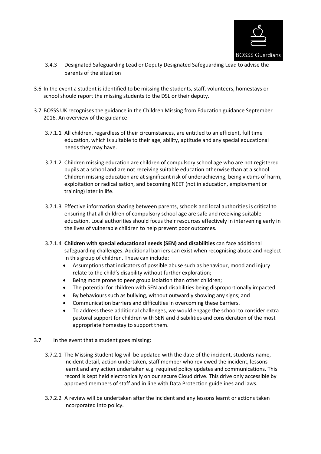

- 3.4.3 Designated Safeguarding Lead or Deputy Designated Safeguarding Lead to advise the parents of the situation
- 3.6 In the event a student is identified to be missing the students, staff, volunteers, homestays or school should report the missing students to the DSL or their deputy.
- 3.7 BOSSS UK recognises the guidance in the Children Missing from Education guidance September 2016. An overview of the guidance:
	- 3.7.1.1 All children, regardless of their circumstances, are entitled to an efficient, full time education, which is suitable to their age, ability, aptitude and any special educational needs they may have.
	- 3.7.1.2 Children missing education are children of compulsory school age who are not registered pupils at a school and are not receiving suitable education otherwise than at a school. Children missing education are at significant risk of underachieving, being victims of harm, exploitation or radicalisation, and becoming NEET (not in education, employment or training) later in life.
	- 3.7.1.3 Effective information sharing between parents, schools and local authorities is critical to ensuring that all children of compulsory school age are safe and receiving suitable education. Local authorities should focus their resources effectively in intervening early in the lives of vulnerable children to help prevent poor outcomes.
	- 3.7.1.4 **Children with special educational needs (SEN) and disabilities** can face additional safeguarding challenges. Additional barriers can exist when recognising abuse and neglect in this group of children. These can include:
		- Assumptions that indicators of possible abuse such as behaviour, mood and injury relate to the child's disability without further exploration;
		- Being more prone to peer group isolation than other children;
		- The potential for children with SEN and disabilities being disproportionally impacted
		- By behaviours such as bullying, without outwardly showing any signs; and
		- Communication barriers and difficulties in overcoming these barriers.
		- To address these additional challenges, we would engage the school to consider extra pastoral support for children with SEN and disabilities and consideration of the most appropriate homestay to support them.
- 3.7 In the event that a student goes missing:
	- 3.7.2.1 The Missing Student log will be updated with the date of the incident, students name, incident detail, action undertaken, staff member who reviewed the incident, lessons learnt and any action undertaken e.g. required policy updates and communications. This record is kept held electronically on our secure Cloud drive. This drive only accessible by approved members of staff and in line with Data Protection guidelines and laws.
	- 3.7.2.2 A review will be undertaken after the incident and any lessons learnt or actions taken incorporated into policy.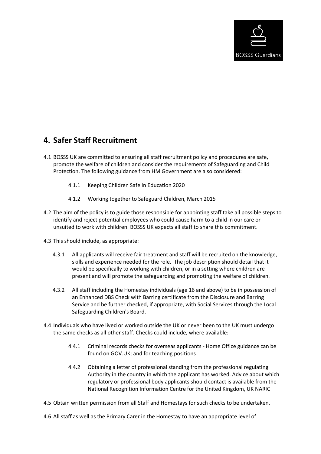

## **4. Safer Staff Recruitment**

- 4.1 BOSSS UK are committed to ensuring all staff recruitment policy and procedures are safe, promote the welfare of children and consider the requirements of Safeguarding and Child Protection. The following guidance from HM Government are also considered:
	- 4.1.1 Keeping Children Safe in Education 2020
	- 4.1.2 Working together to Safeguard Children, March 2015
- 4.2 The aim of the policy is to guide those responsible for appointing staff take all possible steps to identify and reject potential employees who could cause harm to a child in our care or unsuited to work with children. BOSSS UK expects all staff to share this commitment.
- 4.3 This should include, as appropriate:
	- 4.3.1 All applicants will receive fair treatment and staff will be recruited on the knowledge, skills and experience needed for the role. The job description should detail that it would be specifically to working with children, or in a setting where children are present and will promote the safeguarding and promoting the welfare of children.
	- 4.3.2 All staff including the Homestay individuals (age 16 and above) to be in possession of an Enhanced DBS Check with Barring certificate from the Disclosure and Barring Service and be further checked, if appropriate, with Social Services through the Local Safeguarding Children's Board.
- 4.4 Individuals who have lived or worked outside the UK or never been to the UK must undergo the same checks as all other staff. Checks could include, where available:
	- 4.4.1 Criminal records checks for overseas applicants Home Office guidance can be found on GOV.UK; and for teaching positions
	- 4.4.2 Obtaining a letter of professional standing from the professional regulating Authority in the country in which the applicant has worked. Advice about which regulatory or professional body applicants should contact is available from the National Recognition Information Centre for the United Kingdom, UK NARIC
- 4.5 Obtain written permission from all Staff and Homestays for such checks to be undertaken.
- 4.6 All staff as well as the Primary Carer in the Homestay to have an appropriate level of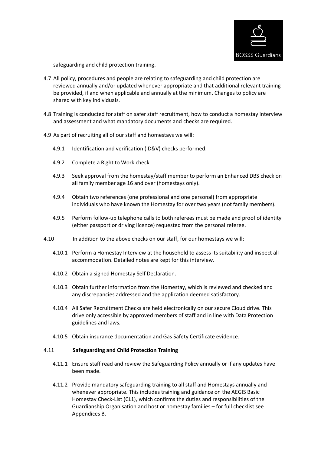

safeguarding and child protection training.

- 4.7 All policy, procedures and people are relating to safeguarding and child protection are reviewed annually and/or updated whenever appropriate and that additional relevant training be provided, if and when applicable and annually at the minimum. Changes to policy are shared with key individuals.
- 4.8 Training is conducted for staff on safer staff recruitment, how to conduct a homestay interview and assessment and what mandatory documents and checks are required.
- 4.9 As part of recruiting all of our staff and homestays we will:
	- 4.9.1 Identification and verification (ID&V) checks performed.
	- 4.9.2 Complete a Right to Work check
	- 4.9.3 Seek approval from the homestay/staff member to perform an Enhanced DBS check on all family member age 16 and over (homestays only).
	- 4.9.4 Obtain two references (one professional and one personal) from appropriate individuals who have known the Homestay for over two years (not family members).
	- 4.9.5 Perform follow-up telephone calls to both referees must be made and proof of identity (either passport or driving licence) requested from the personal referee.
- 4.10 In addition to the above checks on our staff, for our homestays we will:
	- 4.10.1 Perform a Homestay Interview at the household to assess its suitability and inspect all accommodation. Detailed notes are kept for this interview.
	- 4.10.2 Obtain a signed Homestay Self Declaration.
	- 4.10.3 Obtain further information from the Homestay, which is reviewed and checked and any discrepancies addressed and the application deemed satisfactory.
	- 4.10.4 All Safer Recruitment Checks are held electronically on our secure Cloud drive. This drive only accessible by approved members of staff and in line with Data Protection guidelines and laws.
	- 4.10.5 Obtain insurance documentation and Gas Safety Certificate evidence.

#### 4.11 **Safeguarding and Child Protection Training**

- 4.11.1 Ensure staff read and review the Safeguarding Policy annually or if any updates have been made.
- 4.11.2 Provide mandatory safeguarding training to all staff and Homestays annually and whenever appropriate. This includes training and guidance on the AEGIS Basic Homestay Check-List (CL1), which confirms the duties and responsibilities of the Guardianship Organisation and host or homestay families – for full checklist see Appendices B.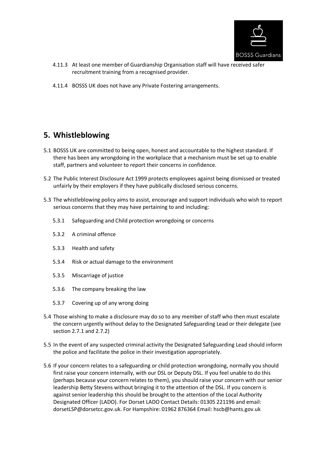

- 4.11.3 At least one member of Guardianship Organisation staff will have received safer recruitment training from a recognised provider.
- 4.11.4 BOSSS UK does not have any Private Fostering arrangements.

## **5. Whistleblowing**

- 5.1 BOSSS UK are committed to being open, honest and accountable to the highest standard. If there has been any wrongdoing in the workplace that a mechanism must be set up to enable staff, partners and volunteer to report their concerns in confidence.
- 5.2 The Public Interest Disclosure Act 1999 protects employees against being dismissed or treated unfairly by their employers if they have publically disclosed serious concerns.
- 5.3 The whistleblowing policy aims to assist, encourage and support individuals who wish to report serious concerns that they may have pertaining to and including:
	- 5.3.1 Safeguarding and Child protection wrongdoing or concerns
	- 5.3.2 A criminal offence
	- 5.3.3 Health and safety
	- 5.3.4 Risk or actual damage to the environment
	- 5.3.5 Miscarriage of justice
	- 5.3.6 The company breaking the law
	- 5.3.7 Covering up of any wrong doing
- 5.4 Those wishing to make a disclosure may do so to any member of staff who then must escalate the concern urgently without delay to the Designated Safeguarding Lead or their delegate (see section 2.7.1 and 2.7.2)
- 5.5 In the event of any suspected criminal activity the Designated Safeguarding Lead should inform the police and facilitate the police in their investigation appropriately.
- 5.6 If your concern relates to a safeguarding or child protection wrongdoing, normally you should first raise your concern internally, with our DSL or Deputy DSL. If you feel unable to do this (perhaps because your concern relates to them), you should raise your concern with our senior leadership Betty Stevens without bringing it to the attention of the DSL. If you concern is against senior leadership this should be brought to the attention of the Local Authority Designated Officer (LADO). For Dorset LADO Contact Details: 01305 221196 and email: dorsetLSP@dorsetcc.gov.uk. For Hampshire: 01962 876364 Email: hscb@hants.gov.uk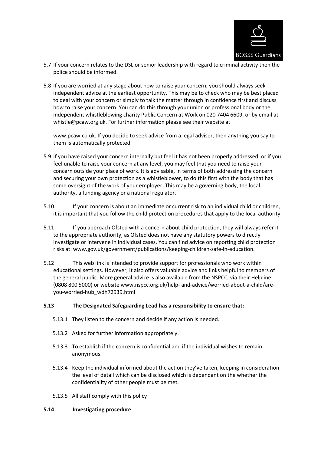

- 5.7 If your concern relates to the DSL or senior leadership with regard to criminal activity then the police should be informed.
- 5.8 If you are worried at any stage about how to raise your concern, you should always seek independent advice at the earliest opportunity. This may be to check who may be best placed to deal with your concern or simply to talk the matter through in confidence first and discuss how to raise your concern. You can do this through your union or professional body or the independent whistleblowing charity Public Concern at Work on 020 7404 6609, or by email at whistle@pcaw.org.uk. For further information please see their website at

www.pcaw.co.uk. If you decide to seek advice from a legal adviser, then anything you say to them is automatically protected.

- 5.9 If you have raised your concern internally but feel it has not been properly addressed, or if you feel unable to raise your concern at any level, you may feel that you need to raise your concern outside your place of work. It is advisable, in terms of both addressing the concern and securing your own protection as a whistleblower, to do this first with the body that has some oversight of the work of your employer. This may be a governing body, the local authority, a funding agency or a national regulator.
- 5.10 If your concern is about an immediate or current risk to an individual child or children, it is important that you follow the child protection procedures that apply to the local authority.
- 5.11 If you approach Ofsted with a concern about child protection, they will always refer it to the appropriate authority, as Ofsted does not have any statutory powers to directly investigate or intervene in individual cases. You can find advice on reporting child protection risks at: www.gov.uk/government/publications/keeping-children-safe-in-education.
- 5.12 This web link is intended to provide support for professionals who work within educational settings. However, it also offers valuable advice and links helpful to members of the general public. More general advice is also available from the NSPCC, via their Helpline (0808 800 5000) or website www.nspcc.org.uk/help- and-advice/worried-about-a-child/areyou-worried-hub\_wdh72939.html

#### **5.13 The Designated Safeguarding Lead has a responsibility to ensure that:**

- 5.13.1 They listen to the concern and decide if any action is needed.
- 5.13.2 Asked for further information appropriately.
- 5.13.3 To establish if the concern is confidential and if the individual wishes to remain anonymous.
- 5.13.4 Keep the individual informed about the action they've taken, keeping in consideration the level of detail which can be disclosed which is dependant on the whether the confidentiality of other people must be met.
- 5.13.5 All staff comply with this policy

#### **5.14 Investigating procedure**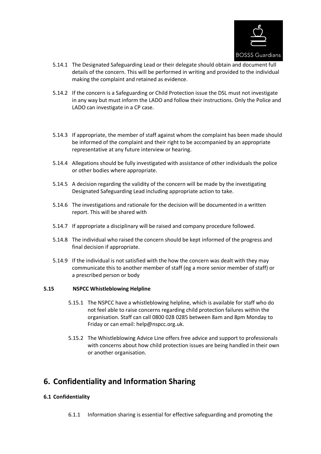

- 5.14.1 The Designated Safeguarding Lead or their delegate should obtain and document full details of the concern. This will be performed in writing and provided to the individual making the complaint and retained as evidence.
- 5.14.2 If the concern is a Safeguarding or Child Protection issue the DSL must not investigate in any way but must inform the LADO and follow their instructions. Only the Police and LADO can investigate in a CP case.
- 5.14.3 If appropriate, the member of staff against whom the complaint has been made should be informed of the complaint and their right to be accompanied by an appropriate representative at any future interview or hearing.
- 5.14.4 Allegations should be fully investigated with assistance of other individuals the police or other bodies where appropriate.
- 5.14.5 A decision regarding the validity of the concern will be made by the investigating Designated Safeguarding Lead including appropriate action to take.
- 5.14.6 The investigations and rationale for the decision will be documented in a written report. This will be shared with
- 5.14.7 If appropriate a disciplinary will be raised and company procedure followed.
- 5.14.8 The individual who raised the concern should be kept informed of the progress and final decision if appropriate.
- 5.14.9 If the individual is not satisfied with the how the concern was dealt with they may communicate this to another member of staff (eg a more senior member of staff) or a prescribed person or body

#### **5.15 NSPCC Whistleblowing Helpline**

- 5.15.1 The NSPCC have a whistleblowing helpline, which is available for staff who do not feel able to raise concerns regarding child protection failures within the organisation. Staff can call 0800 028 0285 between 8am and 8pm Monday to Friday or can email: help@nspcc.org.uk.
- 5.15.2 The Whistleblowing Advice Line offers free advice and support to professionals with concerns about how child protection issues are being handled in their own or another organisation.

## **6. Confidentiality and Information Sharing**

#### **6.1 Confidentiality**

6.1.1 Information sharing is essential for effective safeguarding and promoting the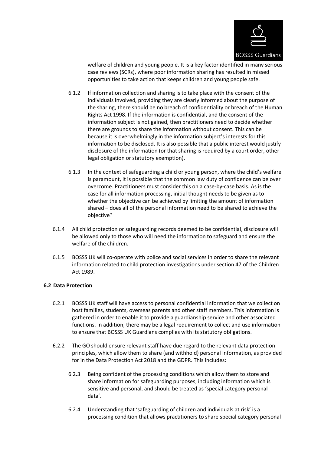

welfare of children and young people. It is a key factor identified in many serious case reviews (SCRs), where poor information sharing has resulted in missed opportunities to take action that keeps children and young people safe.

- 6.1.2 If information collection and sharing is to take place with the consent of the individuals involved, providing they are clearly informed about the purpose of the sharing, there should be no breach of confidentiality or breach of the Human Rights Act 1998. If the information is confidential, and the consent of the information subject is not gained, then practitioners need to decide whether there are grounds to share the information without consent. This can be because it is overwhelmingly in the information subject's interests for this information to be disclosed. It is also possible that a public interest would justify disclosure of the information (or that sharing is required by a court order, other legal obligation or statutory exemption).
- 6.1.3 In the context of safeguarding a child or young person, where the child's welfare is paramount, it is possible that the common law duty of confidence can be over overcome. Practitioners must consider this on a case-by-case basis. As is the case for all information processing, initial thought needs to be given as to whether the objective can be achieved by limiting the amount of information shared – does all of the personal information need to be shared to achieve the objective?
- 6.1.4 All child protection or safeguarding records deemed to be confidential, disclosure will be allowed only to those who will need the information to safeguard and ensure the welfare of the children.
- 6.1.5 BOSSS UK will co-operate with police and social services in order to share the relevant information related to child protection investigations under section 47 of the Children Act 1989.

#### **6.2 Data Protection**

- 6.2.1 BOSSS UK staff will have access to personal confidential information that we collect on host families, students, overseas parents and other staff members. This information is gathered in order to enable it to provide a guardianship service and other associated functions. In addition, there may be a legal requirement to collect and use information to ensure that BOSSS UK Guardians complies with its statutory obligations.
- 6.2.2 The GO should ensure relevant staff have due regard to the relevant data protection principles, which allow them to share (and withhold) personal information, as provided for in the Data Protection Act 2018 and the GDPR. This includes:
	- 6.2.3 Being confident of the processing conditions which allow them to store and share information for safeguarding purposes, including information which is sensitive and personal, and should be treated as 'special category personal data'.
	- 6.2.4 Understanding that 'safeguarding of children and individuals at risk' is a processing condition that allows practitioners to share special category personal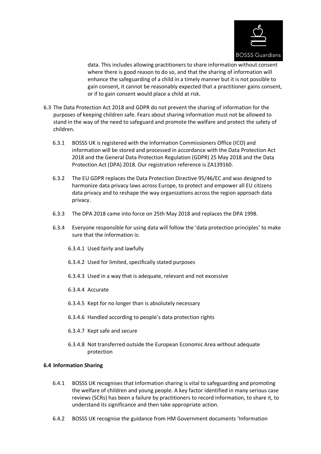

data. This includes allowing practitioners to share information without consent where there is good reason to do so, and that the sharing of information will enhance the safeguarding of a child in a timely manner but it is not possible to gain consent, it cannot be reasonably expected that a practitioner gains consent, or if to gain consent would place a child at risk.

- 6.3 The Data Protection Act 2018 and GDPR do not prevent the sharing of information for the purposes of keeping children safe. Fears about sharing information must not be allowed to stand in the way of the need to safeguard and promote the welfare and protect the safety of children.
	- 6.3.1 BOSSS UK is registered with the Information Commissioners Office (ICO) and information will be stored and processed in accordance with the Data Protection Act 2018 and the General Data Protection Regulation (GDPR) 25 May 2018 and the Data Protection Act (DPA) 2018. Our registration reference is ZA139160.
	- 6.3.2 The EU GDPR replaces the Data Protection Directive 95/46/EC and was designed to harmonize data privacy laws across Europe, to protect and empower all EU citizens data privacy and to reshape the way organizations across the region approach data privacy.
	- 6.3.3 The DPA 2018 came into force on 25th May 2018 and replaces the DPA 1998.
	- 6.3.4 Everyone responsible for using data will follow the 'data protection principles' to make sure that the information is:
		- 6.3.4.1 Used fairly and lawfully
		- 6.3.4.2 Used for limited, specifically stated purposes
		- 6.3.4.3 Used in a way that is adequate, relevant and not excessive
		- 6.3.4.4 Accurate
		- 6.3.4.5 Kept for no longer than is absolutely necessary
		- 6.3.4.6 Handled according to people's data protection rights
		- 6.3.4.7 Kept safe and secure
		- 6.3.4.8 Not transferred outside the European Economic Area without adequate protection

#### **6.4 Information Sharing**

- 6.4.1 BOSSS UK recognises that Information sharing is vital to safeguarding and promoting the welfare of children and young people. A key factor identified in many serious case reviews (SCRs) has been a failure by practitioners to record information, to share it, to understand its significance and then take appropriate action.
- 6.4.2 BOSSS UK recognise the guidance from HM Government documents 'Information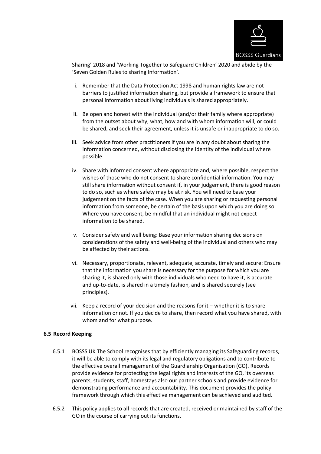

Sharing' 2018 and 'Working Together to Safeguard Children' 2020 and abide by the 'Seven Golden Rules to sharing Information'.

- i. Remember that the Data Protection Act 1998 and human rights law are not barriers to justified information sharing, but provide a framework to ensure that personal information about living individuals is shared appropriately.
- ii. Be open and honest with the individual (and/or their family where appropriate) from the outset about why, what, how and with whom information will, or could be shared, and seek their agreement, unless it is unsafe or inappropriate to do so.
- iii. Seek advice from other practitioners if you are in any doubt about sharing the information concerned, without disclosing the identity of the individual where possible.
- iv. Share with informed consent where appropriate and, where possible, respect the wishes of those who do not consent to share confidential information. You may still share information without consent if, in your judgement, there is good reason to do so, such as where safety may be at risk. You will need to base your judgement on the facts of the case. When you are sharing or requesting personal information from someone, be certain of the basis upon which you are doing so. Where you have consent, be mindful that an individual might not expect information to be shared.
- v. Consider safety and well being: Base your information sharing decisions on considerations of the safety and well-being of the individual and others who may be affected by their actions.
- vi. Necessary, proportionate, relevant, adequate, accurate, timely and secure: Ensure that the information you share is necessary for the purpose for which you are sharing it, is shared only with those individuals who need to have it, is accurate and up-to-date, is shared in a timely fashion, and is shared securely (see principles).
- vii. Keep a record of your decision and the reasons for it whether it is to share information or not. If you decide to share, then record what you have shared, with whom and for what purpose.

#### **6.5 Record Keeping**

- 6.5.1 BOSSS UK The School recognises that by efficiently managing its Safeguarding records, it will be able to comply with its legal and regulatory obligations and to contribute to the effective overall management of the Guardianship Organisation (GO). Records provide evidence for protecting the legal rights and interests of the GO, its overseas parents, students, staff, homestays also our partner schools and provide evidence for demonstrating performance and accountability. This document provides the policy framework through which this effective management can be achieved and audited.
- 6.5.2 This policy applies to all records that are created, received or maintained by staff of the GO in the course of carrying out its functions.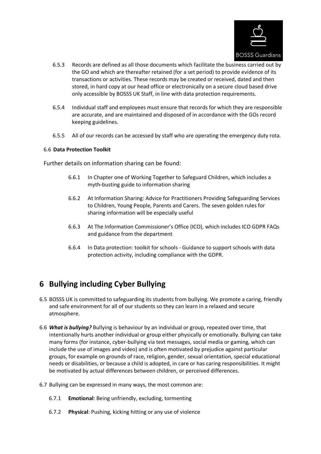

- 6.5.3 Records are defined as all those documents which facilitate the business carried out by the GO and which are thereafter retained (for a set period) to provide evidence of its transactions or activities. These records may be created or received, dated and then stored, in hard copy at our head office or electronically on a secure cloud based drive only accessible by BOSSS UK Staff, in line with data protection requirements.
- 6.5.4 Individual staff and employees must ensure that records for which they are responsible are accurate, and are maintained and disposed of in accordance with the GOs record keeping guidelines.
- 6.5.5 All of our records can be accessed by staff who are operating the emergency duty rota.

#### 6.6 **Data Protection Toolkit**

Further details on information sharing can be found:

- 6.6.1 In Chapter one of Working Together to Safeguard Children, which includes a myth-busting guide to information sharing
- 6.6.2 At Information Sharing: Advice for Practitioners Providing Safeguarding Services to Children, Young People, Parents and Carers. The seven golden rules for sharing information will be especially useful
- 6.6.3 At The Information Commissioner's Office (ICO), which includes ICO GDPR FAQs and guidance from the department
- 6.6.4 In Data protection: toolkit for schools Guidance to support schools with data protection activity, including compliance with the GDPR.

## **6 Bullying including Cyber Bullying**

- 6.5 BOSSS UK is committed to safeguarding its students from bullying. We promote a caring, friendly and safe environment for all of our students so they can learn in a relaxed and secure atmosphere.
- 6.6 *What is bullying?* Bullying is behaviour by an individual or group, repeated over time, that intentionally hurts another individual or group either physically or emotionally. Bullying can take many forms (for instance, cyber-bullying via text messages, social media or gaming, which can include the use of images and video) and is often motivated by prejudice against particular groups, for example on grounds of race, religion, gender, sexual orientation, special educational needs or disabilities, or because a child is adopted, in care or has caring responsibilities. It might be motivated by actual differences between children, or perceived differences.
- 6.7 Bullying can be expressed in many ways, the most common are:
	- 6.7.1 **Emotional**: Being unfriendly, excluding, tormenting
	- 6.7.2 **Physical**: Pushing, kicking hitting or any use of violence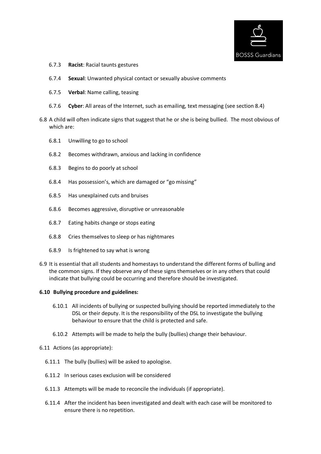

- 6.7.3 **Racist**: Racial taunts gestures
- 6.7.4 **Sexual**: Unwanted physical contact or sexually abusive comments
- 6.7.5 **Verbal**: Name calling, teasing
- 6.7.6 **Cyber**: All areas of the Internet, such as emailing, text messaging (see section 8.4)
- 6.8 A child will often indicate signs that suggest that he or she is being bullied. The most obvious of which are:
	- 6.8.1 Unwilling to go to school
	- 6.8.2 Becomes withdrawn, anxious and lacking in confidence
	- 6.8.3 Begins to do poorly at school
	- 6.8.4 Has possession's, which are damaged or "go missing"
	- 6.8.5 Has unexplained cuts and bruises
	- 6.8.6 Becomes aggressive, disruptive or unreasonable
	- 6.8.7 Eating habits change or stops eating
	- 6.8.8 Cries themselves to sleep or has nightmares
	- 6.8.9 Is frightened to say what is wrong
- 6.9 It is essential that all students and homestays to understand the different forms of bulling and the common signs. If they observe any of these signs themselves or in any others that could indicate that bullying could be occurring and therefore should be investigated.

#### **6.10 Bullying procedure and guidelines:**

- 6.10.1 All incidents of bullying or suspected bullying should be reported immediately to the DSL or their deputy. It is the responsibility of the DSL to investigate the bullying behaviour to ensure that the child is protected and safe.
- 6.10.2 Attempts will be made to help the bully (bullies) change their behaviour.
- 6.11 Actions (as appropriate):
	- 6.11.1 The bully (bullies) will be asked to apologise.
	- 6.11.2 In serious cases exclusion will be considered
	- 6.11.3 Attempts will be made to reconcile the individuals (if appropriate).
	- 6.11.4 After the incident has been investigated and dealt with each case will be monitored to ensure there is no repetition.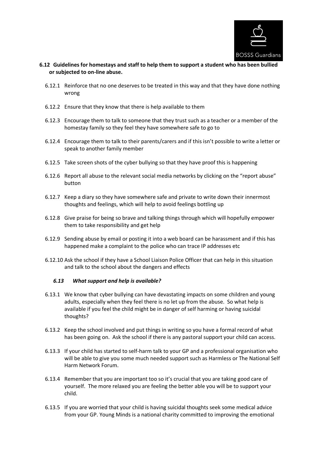

#### **6.12 Guidelines for homestays and staff to help them to support a student who has been bullied or subjected to on-line abuse.**

- 6.12.1 Reinforce that no one deserves to be treated in this way and that they have done nothing wrong
- 6.12.2 Ensure that they know that there is help available to them
- 6.12.3 Encourage them to talk to someone that they trust such as a teacher or a member of the homestay family so they feel they have somewhere safe to go to
- 6.12.4 Encourage them to talk to their parents/carers and if this isn't possible to write a letter or speak to another family member
- 6.12.5 Take screen shots of the cyber bullying so that they have proof this is happening
- 6.12.6 Report all abuse to the relevant social media networks by clicking on the "report abuse" button
- 6.12.7 Keep a diary so they have somewhere safe and private to write down their innermost thoughts and feelings, which will help to avoid feelings bottling up
- 6.12.8 Give praise for being so brave and talking things through which will hopefully empower them to take responsibility and get help
- 6.12.9 Sending abuse by email or posting it into a web board can be harassment and if this has happened make a complaint to the police who can trace IP addresses etc
- 6.12.10 Ask the school if they have a School Liaison Police Officer that can help in this situation and talk to the school about the dangers and effects

#### *6.13 What support and help is available?*

- 6.13.1 We know that cyber bullying can have devastating impacts on some children and young adults, especially when they feel there is no let up from the abuse. So what help is available if you feel the child might be in danger of self harming or having suicidal thoughts?
- 6.13.2 Keep the school involved and put things in writing so you have a formal record of what has been going on. Ask the school if there is any pastoral support your child can access.
- 6.13.3 If your child has started to self-harm talk to your GP and a professional organisation who will be able to give you some much needed support such as Harmless or The National Self Harm Network Forum.
- 6.13.4 Remember that you are important too so it's crucial that you are taking good care of yourself. The more relaxed you are feeling the better able you will be to support your child.
- 6.13.5 If you are worried that your child is having suicidal thoughts seek some medical advice from your GP. Young Minds is a national charity committed to improving the emotional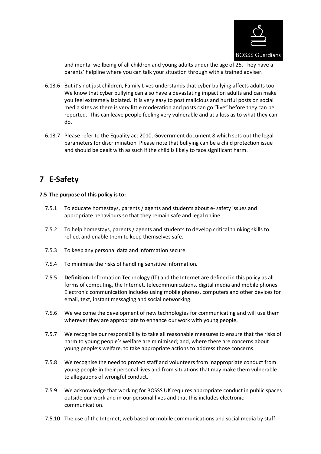

and mental wellbeing of all children and young adults under the age of 25. They have a parents' helpline where you can talk your situation through with a trained adviser.

- 6.13.6 But it's not just children, Family Lives understands that cyber bullying affects adults too. We know that cyber bullying can also have a devastating impact on adults and can make you feel extremely isolated. It is very easy to post malicious and hurtful posts on social media sites as there is very little moderation and posts can go "live" before they can be reported. This can leave people feeling very vulnerable and at a loss as to what they can do.
- 6.13.7 Please refer to the Equality act 2010, Government document 8 which sets out the legal parameters for discrimination. Please note that bullying can be a child protection issue and should be dealt with as such if the child is likely to face significant harm.

## **7 E-Safety**

#### **7.5 The purpose of this policy is to:**

- 7.5.1 To educate homestays, parents / agents and students about e- safety issues and appropriate behaviours so that they remain safe and legal online.
- 7.5.2 To help homestays, parents / agents and students to develop critical thinking skills to reflect and enable them to keep themselves safe.
- 7.5.3 To keep any personal data and information secure.
- 7.5.4 To minimise the risks of handling sensitive information.
- 7.5.5 **Definition:** Information Technology (IT) and the Internet are defined in this policy as all forms of computing, the Internet, telecommunications, digital media and mobile phones. Electronic communication includes using mobile phones, computers and other devices for email, text, instant messaging and social networking.
- 7.5.6 We welcome the development of new technologies for communicating and will use them wherever they are appropriate to enhance our work with young people.
- 7.5.7 We recognise our responsibility to take all reasonable measures to ensure that the risks of harm to young people's welfare are minimised; and, where there are concerns about young people's welfare, to take appropriate actions to address those concerns.
- 7.5.8 We recognise the need to protect staff and volunteers from inappropriate conduct from young people in their personal lives and from situations that may make them vulnerable to allegations of wrongful conduct.
- 7.5.9 We acknowledge that working for BOSSS UK requires appropriate conduct in public spaces outside our work and in our personal lives and that this includes electronic communication.
- 7.5.10 The use of the Internet, web based or mobile communications and social media by staff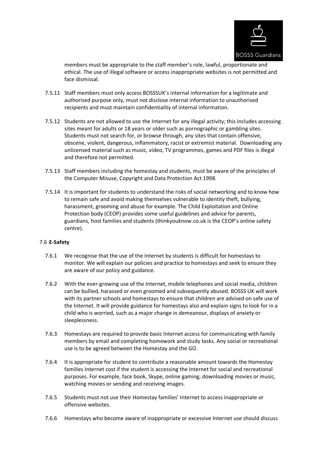

members must be appropriate to the staff member's role, lawful, proportionate and ethical. The use of illegal software or access inappropriate websites is not permitted and face dismissal.

- 7.5.11 Staff members must only access BOSSSUK's internal information for a legitimate and authorised purpose only, must not disclose internal information to unauthorised recipients and must maintain confidentiality of internal information.
- 7.5.12 Students are not allowed to use the Internet for any illegal activity; this includes accessing sites meant for adults or 18 years or older such as pornographic or gambling sites. Students must not search for, or browse through, any sites that contain offensive, obscene, violent, dangerous, inflammatory, racist or extremist material. Downloading any unlicensed material such as music, video, TV programmes, games and PDF files is illegal and therefore not permitted.
- 7.5.13 Staff members including the homestay and students, must be aware of the principles of the Computer Misuse, Copyright and Data Protection Act 1998.
- 7.5.14 It is important for students to understand the risks of social networking and to know how to remain safe and avoid making themselves vulnerable to identity theft, bullying, harassment, grooming and abuse for example. The Child Exploitation and Online Protection body (CEOP) provides some useful guidelines and advice for parents, guardians, host families and students (thinkyouknow.co.uk is the CEOP's online safety centre).

#### 7.6 **E-Safety**

- 7.6.1 We recognise that the use of the Internet by students is difficult for homestays to monitor. We will explain our policies and practice to homestays and seek to ensure they are aware of our policy and guidance.
- 7.6.2 With the ever-growing use of the Internet, mobile telephones and social media, children can be bullied, harassed or even groomed and subsequently abused. BOSSS UK will work with its partner schools and homestays to ensure that children are advised on safe use of the Internet. It will provide guidance for homestays also and explain signs to look for in a child who is worried, such as a major change in demeanour, displays of anxiety or sleeplessness.
- 7.6.3 Homestays are required to provide basic Internet access for communicating with family members by email and completing homework and study tasks. Any social or recreational use is to be agreed between the Homestay and the GO.
- 7.6.4 It is appropriate for student to contribute a reasonable amount towards the Homestay families Internet cost if the student is accessing the Internet for social and recreational purposes. For example, face book, Skype, online gaming, downloading movies or music, watching movies or sending and receiving images.
- 7.6.5 Students must not use their Homestay families' Internet to access inappropriate or offensive websites.
- 7.6.6 Homestays who become aware of inappropriate or excessive Internet use should discuss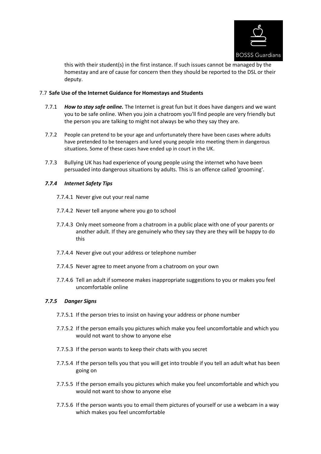

this with their student(s) in the first instance. If such issues cannot be managed by the homestay and are of cause for concern then they should be reported to the DSL or their deputy.

#### 7.7 **Safe Use of the Internet Guidance for Homestays and Students**

- 7.7.1 *How to stay safe online.* The Internet is great fun but it does have dangers and we want you to be safe online. When you join a chatroom you'll find people are very friendly but the person you are talking to might not always be who they say they are.
- 7.7.2 People can pretend to be your age and unfortunately there have been cases where adults have pretended to be teenagers and lured young people into meeting them in dangerous situations. Some of these cases have ended up in court in the UK.
- 7.7.3 Bullying UK has had experience of young people using the internet who have been persuaded into dangerous situations by adults. This is an offence called 'grooming'.

#### *7.7.4 Internet Safety Tips*

- 7.7.4.1 Never give out your real name
- 7.7.4.2 Never tell anyone where you go to school
- 7.7.4.3 Only meet someone from a chatroom in a public place with one of your parents or another adult. If they are genuinely who they say they are they will be happy to do this
- 7.7.4.4 Never give out your address or telephone number
- 7.7.4.5 Never agree to meet anyone from a chatroom on your own
- 7.7.4.6 Tell an adult if someone makes inappropriate suggestions to you or makes you feel uncomfortable online

#### *7.7.5 Danger Signs*

- 7.7.5.1 If the person tries to insist on having your address or phone number
- 7.7.5.2 If the person emails you pictures which make you feel uncomfortable and which you would not want to show to anyone else
- 7.7.5.3 If the person wants to keep their chats with you secret
- 7.7.5.4 If the person tells you that you will get into trouble if you tell an adult what has been going on
- 7.7.5.5 If the person emails you pictures which make you feel uncomfortable and which you would not want to show to anyone else
- 7.7.5.6 If the person wants you to email them pictures of yourself or use a webcam in a way which makes you feel uncomfortable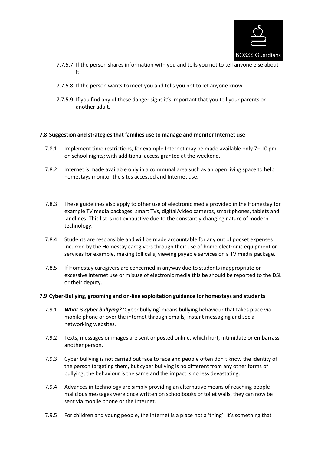

- 7.7.5.7 If the person shares information with you and tells you not to tell anyone else about it
- 7.7.5.8 If the person wants to meet you and tells you not to let anyone know
- 7.7.5.9 If you find any of these danger signs it's important that you tell your parents or another adult.

#### **7.8 Suggestion and strategies that families use to manage and monitor Internet use**

- 7.8.1 Implement time restrictions, for example Internet may be made available only 7– 10 pm on school nights; with additional access granted at the weekend.
- 7.8.2 Internet is made available only in a communal area such as an open living space to help homestays monitor the sites accessed and Internet use.
- 7.8.3 These guidelines also apply to other use of electronic media provided in the Homestay for example TV media packages, smart TVs, digital/video cameras, smart phones, tablets and landlines. This list is not exhaustive due to the constantly changing nature of modern technology.
- 7.8.4 Students are responsible and will be made accountable for any out of pocket expenses incurred by the Homestay caregivers through their use of home electronic equipment or services for example, making toll calls, viewing payable services on a TV media package.
- 7.8.5 If Homestay caregivers are concerned in anyway due to students inappropriate or excessive Internet use or misuse of electronic media this be should be reported to the DSL or their deputy.

#### **7.9 Cyber-Bullying, grooming and on-line exploitation guidance for homestays and students**

- 7.9.1 *What is cyber bullying?* 'Cyber bullying' means bullying behaviour that takes place via mobile phone or over the internet through emails, instant messaging and social networking websites.
- 7.9.2 Texts, messages or images are sent or posted online, which hurt, intimidate or embarrass another person.
- 7.9.3 Cyber bullying is not carried out face to face and people often don't know the identity of the person targeting them, but cyber bullying is no different from any other forms of bullying; the behaviour is the same and the impact is no less devastating.
- 7.9.4 Advances in technology are simply providing an alternative means of reaching people malicious messages were once written on schoolbooks or toilet walls, they can now be sent via mobile phone or the Internet.
- 7.9.5 For children and young people, the Internet is a place not a 'thing'. It's something that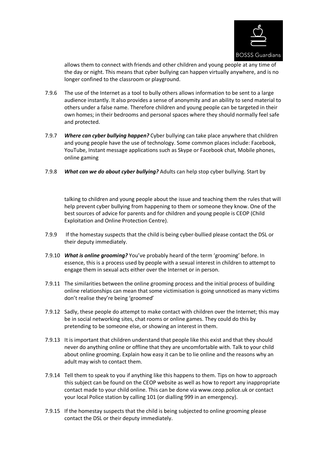

allows them to connect with friends and other children and young people at any time of the day or night. This means that cyber bullying can happen virtually anywhere, and is no longer confined to the classroom or playground.

- 7.9.6 The use of the Internet as a tool to bully others allows information to be sent to a large audience instantly. It also provides a sense of anonymity and an ability to send material to others under a false name. Therefore children and young people can be targeted in their own homes; in their bedrooms and personal spaces where they should normally feel safe and protected.
- 7.9.7 *Where can cyber bullying happen?* Cyber bullying can take place anywhere that children and young people have the use of technology. Some common places include: Facebook, YouTube, Instant message applications such as Skype or Facebook chat, Mobile phones, online gaming
- 7.9.8 *What can we do about cyber bullying?* Adults can help stop cyber bullying. Start by

talking to children and young people about the issue and teaching them the rules that will help prevent cyber bullying from happening to them or someone they know. One of the best sources of advice for parents and for children and young people is CEOP (Child Exploitation and Online Protection Centre).

- 7.9.9 If the homestay suspects that the child is being cyber-bullied please contact the DSL or their deputy immediately.
- 7.9.10 *What is online grooming?* You've probably heard of the term 'grooming' before. In essence, this is a process used by people with a sexual interest in children to attempt to engage them in sexual acts either over the Internet or in person.
- 7.9.11 The similarities between the online grooming process and the initial process of building online relationships can mean that some victimisation is going unnoticed as many victims don't realise they're being 'groomed'
- 7.9.12 Sadly, these people do attempt to make contact with children over the Internet; this may be in social networking sites, chat rooms or online games. They could do this by pretending to be someone else, or showing an interest in them.
- 7.9.13 It is important that children understand that people like this exist and that they should never do anything online or offline that they are uncomfortable with. Talk to your child about online grooming. Explain how easy it can be to lie online and the reasons why an adult may wish to contact them.
- 7.9.14 Tell them to speak to you if anything like this happens to them. Tips on how to approach this subject can be found on the CEOP website as well as how to report any inappropriate contact made to your child online. This can be done via www.ceop.police.uk or contact your local Police station by calling 101 (or dialling 999 in an emergency).
- 7.9.15 If the homestay suspects that the child is being subjected to online grooming please contact the DSL or their deputy immediately.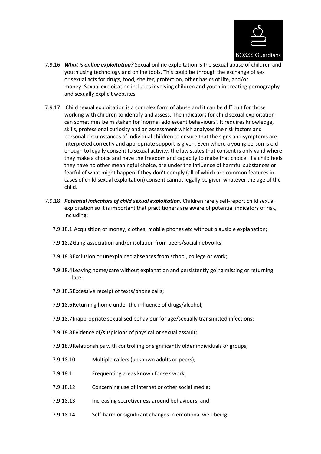

- 7.9.16 *What is online exploitation?* Sexual online exploitation is the sexual abuse of children and youth using technology and online tools. This could be through the exchange of sex or sexual acts for drugs, food, shelter, protection, other basics of life, and/or money. Sexual exploitation includes involving children and youth in creating pornography and sexually explicit websites.
- 7.9.17 Child sexual exploitation is a complex form of abuse and it can be difficult for those working with children to identify and assess. The indicators for child sexual exploitation can sometimes be mistaken for 'normal adolescent behaviours'. It requires knowledge, skills, professional curiosity and an assessment which analyses the risk factors and personal circumstances of individual children to ensure that the signs and symptoms are interpreted correctly and appropriate support is given. Even where a young person is old enough to legally consent to sexual activity, the law states that consent is only valid where they make a choice and have the freedom and capacity to make that choice. If a child feels they have no other meaningful choice, are under the influence of harmful substances or fearful of what might happen if they don't comply (all of which are common features in cases of child sexual exploitation) consent cannot legally be given whatever the age of the child.
- 7.9.18 *Potential indicators of child sexual exploitation.* Children rarely self-report child sexual exploitation so it is important that practitioners are aware of potential indicators of risk, including:
	- 7.9.18.1 Acquisition of money, clothes, mobile phones etc without plausible explanation;
	- 7.9.18.2Gang-association and/or isolation from peers/social networks;
	- 7.9.18.3Exclusion or unexplained absences from school, college or work;
	- 7.9.18.4Leaving home/care without explanation and persistently going missing or returning late;
	- 7.9.18.5Excessive receipt of texts/phone calls;
	- 7.9.18.6Returning home under the influence of drugs/alcohol;
	- 7.9.18.7Inappropriate sexualised behaviour for age/sexually transmitted infections;
	- 7.9.18.8Evidence of/suspicions of physical or sexual assault;
	- 7.9.18.9Relationships with controlling or significantly older individuals or groups;
	- 7.9.18.10 Multiple callers (unknown adults or peers);
	- 7.9.18.11 Frequenting areas known for sex work;
	- 7.9.18.12 Concerning use of internet or other social media;
	- 7.9.18.13 Increasing secretiveness around behaviours; and
	- 7.9.18.14 Self-harm or significant changes in emotional well-being.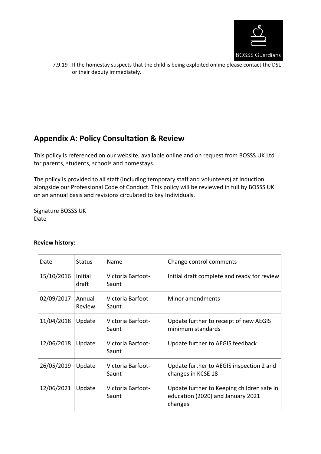

7.9.19 If the homestay suspects that the child is being exploited online please contact the DSL or their deputy immediately.

## **Appendix A: Policy Consultation & Review**

This policy is referenced on our website, available online and on request from BOSSS UK Ltd for parents, students, schools and homestays.

The policy is provided to all staff (including temporary staff and volunteers) at induction alongside our Professional Code of Conduct. This policy will be reviewed in full by BOSSS UK on an annual basis and revisions circulated to key Individuals.

Signature BOSSS UK Date

#### **Review history:**

| Date       | Status           | Name                       | Change control comments                                                                    |
|------------|------------------|----------------------------|--------------------------------------------------------------------------------------------|
| 15/10/2016 | Initial<br>draft | Victoria Barfoot-<br>Saunt | Initial draft complete and ready for review                                                |
| 02/09/2017 | Annual<br>Review | Victoria Barfoot-<br>Saunt | Minor amendments                                                                           |
| 11/04/2018 | Update           | Victoria Barfoot-<br>Saunt | Update further to receipt of new AEGIS<br>minimum standards                                |
| 12/06/2018 | Update           | Victoria Barfoot-<br>Saunt | Update further to AEGIS feedback                                                           |
| 26/05/2019 | Update           | Victoria Barfoot-<br>Saunt | Update further to AEGIS inspection 2 and<br>changes in KCSE 18                             |
| 12/06/2021 | Update           | Victoria Barfoot-<br>Saunt | Update further to Keeping children safe in<br>education (2020) and January 2021<br>changes |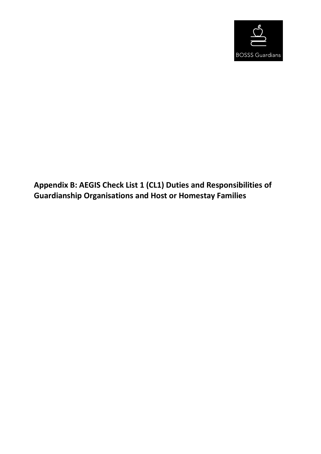

## **Appendix B: AEGIS Check List 1 (CL1) Duties and Responsibilities of Guardianship Organisations and Host or Homestay Families**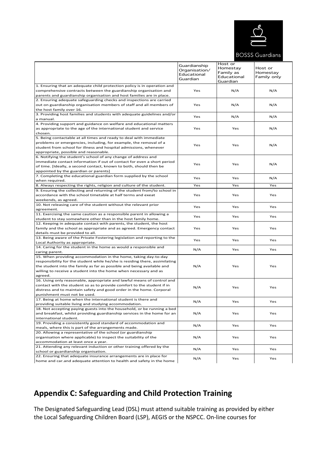

#### **BOSSS Guardians**

|                                                                                                                                                                                                                                                                                                         | Guardianship<br>Organisation/<br>Educational<br>Guardian | Host or<br>Homestay<br>Family as<br>Educational<br>Guardian | Host or<br>Homestay<br>Family only |
|---------------------------------------------------------------------------------------------------------------------------------------------------------------------------------------------------------------------------------------------------------------------------------------------------------|----------------------------------------------------------|-------------------------------------------------------------|------------------------------------|
| 1. Ensuring that an adequate child protection policy is in operation and<br>comprehensive contracts between the guardianship organisation and<br>parents and guardianship organisation and host families are in place.                                                                                  | Yes                                                      | N/A                                                         | N/A                                |
| 2. Ensuring adequate safeguarding checks and inspections are carried<br>out on guardianship organisation members of staff and all members of<br>the host family over 16.                                                                                                                                | Yes                                                      | N/A                                                         | N/A                                |
| 3. Providing host families and students with adequate guidelines and/or<br>a manual.                                                                                                                                                                                                                    | Yes                                                      | N/A                                                         | N/A                                |
| 4. Providing support and guidance on welfare and educational matters<br>as appropriate to the age of the international student and service<br>chosen.                                                                                                                                                   | Yes                                                      | Yes                                                         | N/A                                |
| 5. Being contactable at all times and ready to deal with immediate<br>problems or emergencies, including, for example, the removal of a<br>student from school for illness and hospital admissions, whenever<br>appropriate, possible and reasonable.                                                   | Yes                                                      | Yes                                                         | N/A                                |
| 6. Notifying the student's school of any change of address and<br>immediate contact information if out of contact for even a short period<br>of time. [Ideally, a second contact, known to both, should then be<br>appointed by the guardian or parents]                                                | Yes                                                      | Yes                                                         | N/A                                |
| 7. Completing the educational guardian form supplied by the school<br>when required.                                                                                                                                                                                                                    | Yes                                                      | Yes                                                         | N/A                                |
| 8. Always respecting the rights, religion and culture of the student.                                                                                                                                                                                                                                   | Yes                                                      | Yes                                                         | Yes                                |
| 9. Ensuring the collecting and returning of the student from/to school in<br>accordance with the school timetable at half terms and exeat<br>weekends, as agreed.                                                                                                                                       | Yes                                                      | Yes                                                         | Yes                                |
| 10. Not releasing care of the student without the relevant prior<br>agreement.                                                                                                                                                                                                                          | Yes                                                      | Yes                                                         | Yes                                |
| 11. Exercising the same caution as a responsible parent in allowing a<br>student to stay somewhere other than in the host family home.                                                                                                                                                                  | Yes                                                      | Yes                                                         | Yes                                |
| 12. Keeping in adequate contact with parents, the student, the host<br>family and the school as appropriate and as agreed. Emergency contact<br>details must be provided to all.                                                                                                                        | Yes                                                      | Yes                                                         | Yes                                |
| 13. Being aware of the Private Fostering legislation and reporting to the<br>Local Authority as appropriate.                                                                                                                                                                                            | Yes                                                      | Yes                                                         | Yes                                |
| 14. Caring for the student in the home as would a responsible and<br>caring parent.                                                                                                                                                                                                                     | N/A                                                      | Yes                                                         | Yes                                |
| 15. When providing accommodation in the home, taking day-to-day<br>responsibility for the student while he/she is residing there, assimilating<br>the student into the family as far as possible and being available and<br>willing to receive a student into the home when necessary and as<br>agreed. | N/A                                                      | Yes                                                         | Yes                                |
| 16. Using only reasonable, appropriate and lawful means of control and<br>contact with the student so as to provide comfort to the student if in<br>distress and to maintain safety and good order in the home. Corporal<br>punishment must not be used.                                                | N/A                                                      | Yes                                                         | Yes                                |
| 17. Being at home when the international student is there and<br>providing suitable living and studying accommodation.                                                                                                                                                                                  | N/A                                                      | Yes                                                         | Yes                                |
| 18. Not accepting paying guests into the household, or be running a bed<br>and breakfast, whilst providing guardianship services in the home for an<br>international student.                                                                                                                           | N/A                                                      | Yes                                                         | Yes                                |
| 19. Providing a consistently good standard of accommodation and<br>meals, where this is part of the arrangements made.                                                                                                                                                                                  | N/A                                                      | Yes                                                         | Yes                                |
| 20. Allowing a representative of the school (or guardianship<br>organisation where applicable) to inspect the suitability of the<br>accommodation at least once a year.                                                                                                                                 | N/A                                                      | Yes                                                         | Yes                                |
| 21. Attending any relevant induction or other training offered by the<br>school or guardianship organisation.                                                                                                                                                                                           | N/A                                                      | Yes                                                         | Yes                                |
| 22. Ensuring that adequate insurance arrangements are in place for<br>home and car.and adequate attention to health and safety in the home                                                                                                                                                              | N/A                                                      | Yes                                                         | Yes                                |

## **Appendix C: Safeguarding and Child Protection Training**

The Designated Safeguarding Lead (DSL) must attend suitable training as provided by either the Local Safeguarding Children Board (LSP), AEGIS or the NSPCC. On-line courses for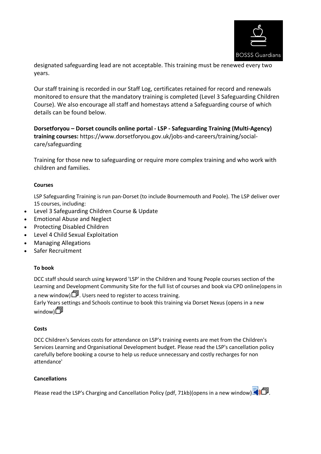

designated safeguarding lead are not acceptable. This training must be renewed every two years.

Our staff training is recorded in our Staff Log, certificates retained for record and renewals monitored to ensure that the mandatory training is completed (Level 3 Safeguarding Children Course). We also encourage all staff and homestays attend a Safeguarding course of which details can be found below.

**Dorsetforyou – Dorset councils online portal - LSP - Safeguarding Training (Multi-Agency) training courses:** https://www.dorsetforyou.gov.uk/jobs-and-careers/training/socialcare/safeguarding

Training for those new to safeguarding or require more complex training and who work with children and families.

#### **Courses**

LSP Safeguarding Training is run pan-Dorset (to include Bournemouth and Poole). The LSP deliver over 15 courses, including:

- Level 3 Safeguarding Children Course & Update
- Emotional Abuse and Neglect
- Protecting Disabled Children
- Level 4 Child Sexual Exploitation
- Managing Allegations
- Safer Recruitment

#### **To book**

DCC staff should search using keyword 'LSP' in the Children and Young People courses section of the Learning and Development Community Site for the full list of courses and book via CPD online(opens in

a new window)  $\Box$  Users need to register to access training.

Early Years settings and Schools continue to book this training via Dorset Nexus (opens in a new window)口

#### **Costs**

DCC Children's Services costs for attendance on LSP's training events are met from the Children's Services Learning and Organisational Development budget. Please read the LSP's cancellation policy carefully before booking a course to help us reduce unnecessary and costly recharges for non attendance'

#### **Cancellations**

Please read the LSP's Charging and Cancellation Policy (pdf, 71kb)(opens in a new window)  $\Box$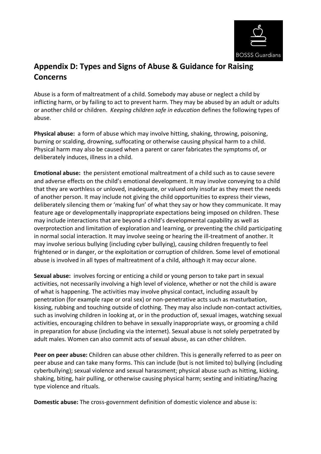

## **Appendix D: Types and Signs of Abuse & Guidance for Raising Concerns**

Abuse is a form of maltreatment of a child. Somebody may abuse or neglect a child by inflicting harm, or by failing to act to prevent harm. They may be abused by an adult or adults or another child or children. *Keeping children safe in education* defines the following types of abuse.

**Physical abuse:** a form of abuse which may involve hitting, shaking, throwing, poisoning, burning or scalding, drowning, suffocating or otherwise causing physical harm to a child. Physical harm may also be caused when a parent or carer fabricates the symptoms of, or deliberately induces, illness in a child.

**Emotional abuse:** the persistent emotional maltreatment of a child such as to cause severe and adverse effects on the child's emotional development. It may involve conveying to a child that they are worthless or unloved, inadequate, or valued only insofar as they meet the needs of another person. It may include not giving the child opportunities to express their views, deliberately silencing them or 'making fun' of what they say or how they communicate. It may feature age or developmentally inappropriate expectations being imposed on children. These may include interactions that are beyond a child's developmental capability as well as overprotection and limitation of exploration and learning, or preventing the child participating in normal social interaction. It may involve seeing or hearing the ill-treatment of another. It may involve serious bullying (including cyber bullying), causing children frequently to feel frightened or in danger, or the exploitation or corruption of children. Some level of emotional abuse is involved in all types of maltreatment of a child, although it may occur alone.

**Sexual abuse:** involves forcing or enticing a child or young person to take part in sexual activities, not necessarily involving a high level of violence, whether or not the child is aware of what is happening. The activities may involve physical contact, including assault by penetration (for example rape or oral sex) or non-penetrative acts such as masturbation, kissing, rubbing and touching outside of clothing. They may also include non-contact activities, such as involving children in looking at, or in the production of, sexual images, watching sexual activities, encouraging children to behave in sexually inappropriate ways, or grooming a child in preparation for abuse (including via the internet). Sexual abuse is not solely perpetrated by adult males. Women can also commit acts of sexual abuse, as can other children.

**Peer on peer abuse:** Children can abuse other children. This is generally referred to as peer on peer abuse and can take many forms. This can include (but is not limited to) bullying (including cyberbullying); sexual violence and sexual harassment; physical abuse such as hitting, kicking, shaking, biting, hair pulling, or otherwise causing physical harm; sexting and initiating/hazing type violence and rituals.

**Domestic abuse:** The cross-government definition of domestic violence and abuse is: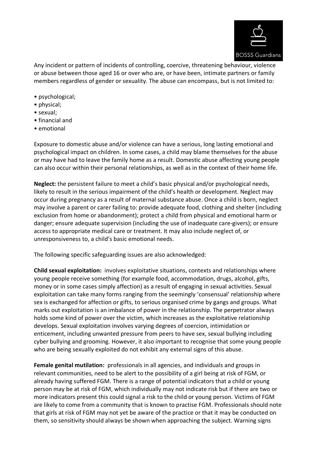

Any incident or pattern of incidents of controlling, coercive, threatening behaviour, violence or abuse between those aged 16 or over who are, or have been, intimate partners or family members regardless of gender or sexuality. The abuse can encompass, but is not limited to:

- psychological;
- physical;
- sexual;
- financial and
- emotional

Exposure to domestic abuse and/or violence can have a serious, long lasting emotional and psychological impact on children. In some cases, a child may blame themselves for the abuse or may have had to leave the family home as a result. Domestic abuse affecting young people can also occur within their personal relationships, as well as in the context of their home life.

**Neglect:** the persistent failure to meet a child's basic physical and/or psychological needs, likely to result in the serious impairment of the child's health or development. Neglect may occur during pregnancy as a result of maternal substance abuse. Once a child is born, neglect may involve a parent or carer failing to: provide adequate food, clothing and shelter (including exclusion from home or abandonment); protect a child from physical and emotional harm or danger; ensure adequate supervision (including the use of inadequate care-givers); or ensure access to appropriate medical care or treatment. It may also include neglect of, or unresponsiveness to, a child's basic emotional needs.

The following specific safeguarding issues are also acknowledged:

**Child sexual exploitation:** involves exploitative situations, contexts and relationships where young people receive something (for example food, accommodation, drugs, alcohol, gifts, money or in some cases simply affection) as a result of engaging in sexual activities. Sexual exploitation can take many forms ranging from the seemingly 'consensual' relationship where sex is exchanged for affection or gifts, to serious organised crime by gangs and groups. What marks out exploitation is an imbalance of power in the relationship. The perpetrator always holds some kind of power over the victim, which increases as the exploitative relationship develops. Sexual exploitation involves varying degrees of coercion, intimidation or enticement, including unwanted pressure from peers to have sex, sexual bullying including cyber bullying and grooming. However, it also important to recognise that some young people who are being sexually exploited do not exhibit any external signs of this abuse.

**Female genital mutilation:** professionals in all agencies, and individuals and groups in relevant communities, need to be alert to the possibility of a girl being at risk of FGM, or already having suffered FGM. There is a range of potential indicators that a child or young person may be at risk of FGM, which individually may not indicate risk but if there are two or more indicators present this could signal a risk to the child or young person. Victims of FGM are likely to come from a community that is known to practise FGM. Professionals should note that girls at risk of FGM may not yet be aware of the practice or that it may be conducted on them, so sensitivity should always be shown when approaching the subject. Warning signs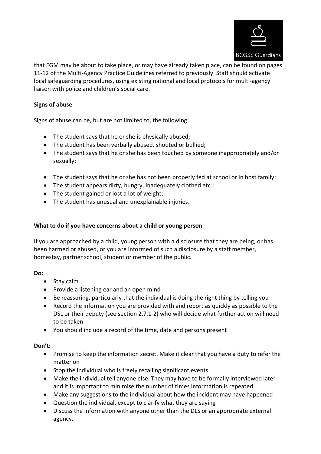

that FGM may be about to take place, or may have already taken place, can be found on pages 11-12 of the Multi-Agency Practice Guidelines referred to previously. Staff should activate local safeguarding procedures, using existing national and local protocols for multi-agency liaison with police and children's social care.

## **Signs of abuse**

Signs of abuse can be, but are not limited to, the following:

- The student says that he or she is physically abused;
- The student has been verbally abused, shouted or bullied;
- The student says that he or she has been touched by someone inappropriately and/or sexually;
- The student says that he or she has not been properly fed at school or in host family;
- The student appears dirty, hungry, inadequately clothed etc.;
- The student gained or lost a lot of weight;
- The student has unusual and unexplainable injuries.

## **What to do if you have concerns about a child or young person**

If you are approached by a child, young person with a disclosure that they are being, or has been harmed or abused, or you are informed of such a disclosure by a staff member, homestay, partner school, student or member of the public.

## **Do:**

- Stay calm
- Provide a listening ear and an open mind
- Be reassuring, particularly that the individual is doing the right thing by telling you
- Record the information you are provided with and report as quickly as possible to the DSL or their deputy (see section 2.7.1-2) who will decide what further action will need to be taken
- You should include a record of the time, date and persons present

## **Don't:**

- Promise to keep the information secret. Make it clear that you have a duty to refer the matter on
- Stop the individual who is freely recalling significant events
- Make the individual tell anyone else. They may have to be formally interviewed later and it is important to minimise the number of times information is repeated
- Make any suggestions to the individual about how the incident may have happened
- Question the individual, except to clarify what they are saying
- Discuss the information with anyone other than the DLS or an appropriate external agency.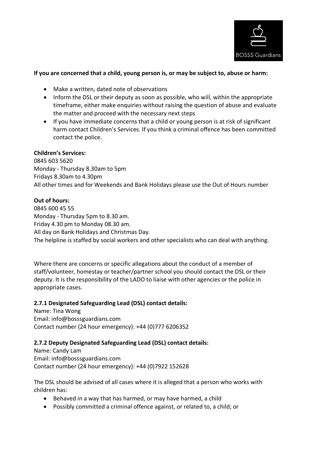

## **If you are concerned that a child, young person is, or may be subject to, abuse or harm:**

- Make a written, dated note of observations
- Inform the DSL or their deputy as soon as possible, who will, within the appropriate timeframe, either make enquiries without raising the question of abuse and evaluate the matter and proceed with the necessary next steps
- If you have immediate concerns that a child or young person is at risk of significant harm contact Children's Services. If you think a criminal offence has been committed contact the police.

## **Children's Services:**

0845 603 5620 Monday - Thursday 8.30am to 5pm Fridays 8.30am to 4.30pm All other times and for Weekends and Bank Holidays please use the Out of Hours number

## **Out of hours:**

0845 600 45 55 Monday - Thursday 5pm to 8.30 am. Friday 4.30 pm to Monday 08.30 am. All day on Bank Holidays and Christmas Day. The helpline is staffed by social workers and other specialists who can deal with anything.

Where there are concerns or specific allegations about the conduct of a member of staff/volunteer, homestay or teacher/partner school you should contact the DSL or their deputy. It is the responsibility of the LADO to liaise with other agencies or the police in appropriate cases.

## **2.7.1 Designated Safeguarding Lead (DSL) contact details:**

Name: Tina Wong Email: info@bosssguardians.com Contact number (24 hour emergency): +44 (0)777 6206352

## **2.7.2 Deputy Designated Safeguarding Lead (DSL) contact details:**

Name: Candy Lam Email: info@bosssguardians.com Contact number (24 hour emergency): +44 (0)7922 152628

The DSL should be advised of all cases where it is alleged that a person who works with children has:

- Behaved in a way that has harmed, or may have harmed, a child
- Possibly committed a criminal offence against, or related to, a child; or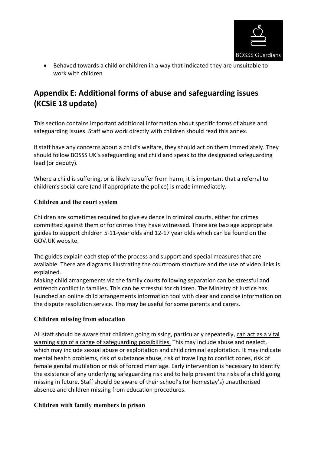

• Behaved towards a child or children in a way that indicated they are unsuitable to work with children

## **Appendix E: Additional forms of abuse and safeguarding issues (KCSiE 18 update)**

This section contains important additional information about specific forms of abuse and safeguarding issues. Staff who work directly with children should read this annex.

if staff have any concerns about a child's welfare, they should act on them immediately. They should follow BOSSS UK's safeguarding and child and speak to the designated safeguarding lead (or deputy).

Where a child is suffering, or is likely to suffer from harm, it is important that a referral to children's social care (and if appropriate the police) is made immediately.

## **Children and the court system**

Children are sometimes required to give evidence in criminal courts, either for crimes committed against them or for crimes they have witnessed. There are two age appropriate guides to support children 5-11-year olds and 12-17 year olds which can be found on the GOV.UK website.

The guides explain each step of the process and support and special measures that are available. There are diagrams illustrating the courtroom structure and the use of video links is explained.

Making child arrangements via the family courts following separation can be stressful and entrench conflict in families. This can be stressful for children. The Ministry of Justice has launched an online child arrangements information tool with clear and concise information on the dispute resolution service. This may be useful for some parents and carers.

## **Children missing from education**

All staff should be aware that children going missing, particularly repeatedly, can act as a vital warning sign of a range of safeguarding possibilities. This may include abuse and neglect, which may include sexual abuse or exploitation and child criminal exploitation. It may indicate mental health problems, risk of substance abuse, risk of travelling to conflict zones, risk of female genital mutilation or risk of forced marriage. Early intervention is necessary to identify the existence of any underlying safeguarding risk and to help prevent the risks of a child going missing in future. Staff should be aware of their school's (or homestay's) unauthorised absence and children missing from education procedures.

## **Children with family members in prison**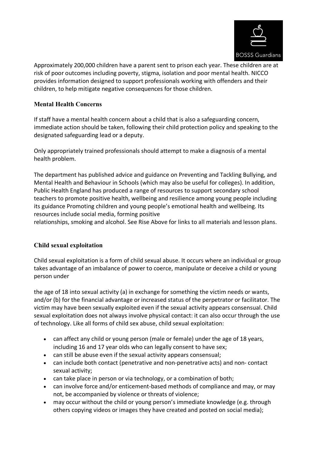

Approximately 200,000 children have a parent sent to prison each year. These children are at risk of poor outcomes including poverty, stigma, isolation and poor mental health. NICCO provides information designed to support professionals working with offenders and their children, to help mitigate negative consequences for those children.

## **Mental Health Concerns**

If staff have a mental health concern about a child that is also a safeguarding concern, immediate action should be taken, following their child protection policy and speaking to the designated safeguarding lead or a deputy.

Only appropriately trained professionals should attempt to make a diagnosis of a mental health problem.

The department has published advice and guidance on Preventing and Tackling Bullying, and Mental Health and Behaviour in Schools (which may also be useful for colleges). In addition, Public Health England has produced a range of resources to support secondary school teachers to promote positive health, wellbeing and resilience among young people including its guidance Promoting children and young people's emotional health and wellbeing. Its resources include social media, forming positive

relationships, smoking and alcohol. See Rise Above for links to all materials and lesson plans.

## **Child sexual exploitation**

Child sexual exploitation is a form of child sexual abuse. It occurs where an individual or group takes advantage of an imbalance of power to coerce, manipulate or deceive a child or young person under

the age of 18 into sexual activity (a) in exchange for something the victim needs or wants, and/or (b) for the financial advantage or increased status of the perpetrator or facilitator. The victim may have been sexually exploited even if the sexual activity appears consensual. Child sexual exploitation does not always involve physical contact: it can also occur through the use of technology. Like all forms of child sex abuse, child sexual exploitation:

- can affect any child or young person (male or female) under the age of 18 years, including 16 and 17 year olds who can legally consent to have sex;
- can still be abuse even if the sexual activity appears consensual;
- can include both contact (penetrative and non-penetrative acts) and non- contact sexual activity;
- can take place in person or via technology, or a combination of both;
- can involve force and/or enticement-based methods of compliance and may, or may not, be accompanied by violence or threats of violence;
- may occur without the child or young person's immediate knowledge (e.g. through others copying videos or images they have created and posted on social media);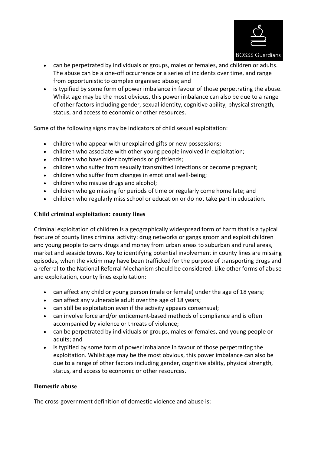

- can be perpetrated by individuals or groups, males or females, and children or adults. The abuse can be a one-off occurrence or a series of incidents over time, and range from opportunistic to complex organised abuse; and
- is typified by some form of power imbalance in favour of those perpetrating the abuse. Whilst age may be the most obvious, this power imbalance can also be due to a range of other factors including gender, sexual identity, cognitive ability, physical strength, status, and access to economic or other resources.

Some of the following signs may be indicators of child sexual exploitation:

- children who appear with unexplained gifts or new possessions;
- children who associate with other young people involved in exploitation;
- children who have older boyfriends or girlfriends;
- children who suffer from sexually transmitted infections or become pregnant;
- children who suffer from changes in emotional well-being;
- children who misuse drugs and alcohol;
- children who go missing for periods of time or regularly come home late; and
- children who regularly miss school or education or do not take part in education.

## **Child criminal exploitation: county lines**

Criminal exploitation of children is a geographically widespread form of harm that is a typical feature of county lines criminal activity: drug networks or gangs groom and exploit children and young people to carry drugs and money from urban areas to suburban and rural areas, market and seaside towns. Key to identifying potential involvement in county lines are missing episodes, when the victim may have been trafficked for the purpose of transporting drugs and a referral to the National Referral Mechanism should be considered. Like other forms of abuse and exploitation, county lines exploitation:

- can affect any child or young person (male or female) under the age of 18 years;
- can affect any vulnerable adult over the age of 18 years;
- can still be exploitation even if the activity appears consensual;
- can involve force and/or enticement-based methods of compliance and is often accompanied by violence or threats of violence;
- can be perpetrated by individuals or groups, males or females, and young people or adults; and
- is typified by some form of power imbalance in favour of those perpetrating the exploitation. Whilst age may be the most obvious, this power imbalance can also be due to a range of other factors including gender, cognitive ability, physical strength, status, and access to economic or other resources.

## **Domestic abuse**

The cross-government definition of domestic violence and abuse is: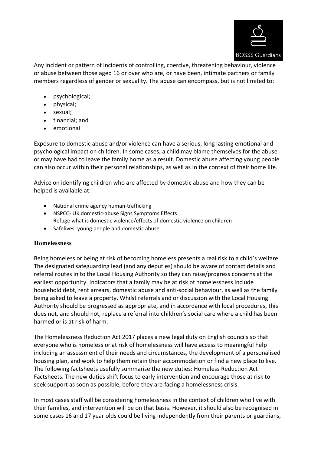

Any incident or pattern of incidents of controlling, coercive, threatening behaviour, violence or abuse between those aged 16 or over who are, or have been, intimate partners or family members regardless of gender or sexuality. The abuse can encompass, but is not limited to:

- psychological;
- physical;
- sexual;
- financial; and
- emotional

Exposure to domestic abuse and/or violence can have a serious, long lasting emotional and psychological impact on children. In some cases, a child may blame themselves for the abuse or may have had to leave the family home as a result. Domestic abuse affecting young people can also occur within their personal relationships, as well as in the context of their home life.

Advice on identifying children who are affected by domestic abuse and how they can be helped is available at:

- National crime agency human-trafficking
- NSPCC- UK domestic-abuse Signs Symptoms Effects Refuge what is domestic violence/effects of domestic violence on children
- Safelives: young people and domestic abuse

## **Homelessness**

Being homeless or being at risk of becoming homeless presents a real risk to a child's welfare. The designated safeguarding lead (and any deputies) should be aware of contact details and referral routes in to the Local Housing Authority so they can raise/progress concerns at the earliest opportunity. Indicators that a family may be at risk of homelessness include household debt, rent arrears, domestic abuse and anti-social behaviour, as well as the family being asked to leave a property. Whilst referrals and or discussion with the Local Housing Authority should be progressed as appropriate, and in accordance with local procedures, this does not, and should not, replace a referral into children's social care where a child has been harmed or is at risk of harm.

The Homelessness Reduction Act 2017 places a new legal duty on English councils so that everyone who is homeless or at risk of homelessness will have access to meaningful help including an assessment of their needs and circumstances, the development of a personalised housing plan, and work to help them retain their accommodation or find a new place to live. The following factsheets usefully summarise the new duties: Homeless Reduction Act Factsheets. The new duties shift focus to early intervention and encourage those at risk to seek support as soon as possible, before they are facing a homelessness crisis.

In most cases staff will be considering homelessness in the context of children who live with their families, and intervention will be on that basis. However, it should also be recognised in some cases 16 and 17 year olds could be living independently from their parents or guardians,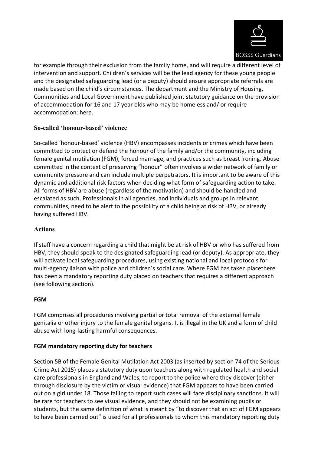

for example through their exclusion from the family home, and will require a different level of intervention and support. Children's services will be the lead agency for these young people and the designated safeguarding lead (or a deputy) should ensure appropriate referrals are made based on the child's circumstances. The department and the Ministry of Housing, Communities and Local Government have published joint statutory guidance on the provision of accommodation for 16 and 17 year olds who may be homeless and/ or require accommodation: here.

## **So-called 'honour-based' violence**

So-called 'honour-based' violence (HBV) encompasses incidents or crimes which have been committed to protect or defend the honour of the family and/or the community, including female genital mutilation (FGM), forced marriage, and practices such as breast ironing. Abuse committed in the context of preserving "honour" often involves a wider network of family or community pressure and can include multiple perpetrators. It is important to be aware of this dynamic and additional risk factors when deciding what form of safeguarding action to take. All forms of HBV are abuse (regardless of the motivation) and should be handled and escalated as such. Professionals in all agencies, and individuals and groups in relevant communities, need to be alert to the possibility of a child being at risk of HBV, or already having suffered HBV.

## **Actions**

If staff have a concern regarding a child that might be at risk of HBV or who has suffered from HBV, they should speak to the designated safeguarding lead (or deputy). As appropriate, they will activate local safeguarding procedures, using existing national and local protocols for multi-agency liaison with police and children's social care. Where FGM has taken placethere has been a mandatory reporting duty placed on teachers that requires a different approach (see following section).

## **FGM**

FGM comprises all procedures involving partial or total removal of the external female genitalia or other injury to the female genital organs. It is illegal in the UK and a form of child abuse with long-lasting harmful consequences.

## **FGM mandatory reporting duty for teachers**

Section 5B of the Female Genital Mutilation Act 2003 (as inserted by section 74 of the Serious Crime Act 2015) places a statutory duty upon teachers along with regulated health and social care professionals in England and Wales, to report to the police where they discover (either through disclosure by the victim or visual evidence) that FGM appears to have been carried out on a girl under 18. Those failing to report such cases will face disciplinary sanctions. It will be rare for teachers to see visual evidence, and they should not be examining pupils or students, but the same definition of what is meant by "to discover that an act of FGM appears to have been carried out" is used for all professionals to whom this mandatory reporting duty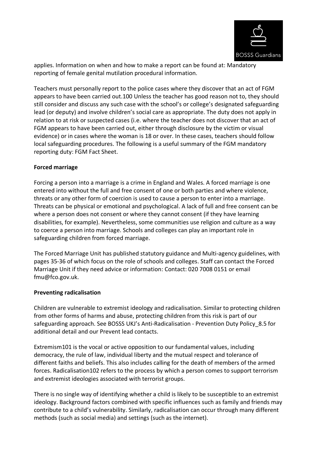

applies. Information on when and how to make a report can be found at: Mandatory reporting of female genital mutilation procedural information.

Teachers must personally report to the police cases where they discover that an act of FGM appears to have been carried out.100 Unless the teacher has good reason not to, they should still consider and discuss any such case with the school's or college's designated safeguarding lead (or deputy) and involve children's social care as appropriate. The duty does not apply in relation to at risk or suspected cases (i.e. where the teacher does not discover that an act of FGM appears to have been carried out, either through disclosure by the victim or visual evidence) or in cases where the woman is 18 or over. In these cases, teachers should follow local safeguarding procedures. The following is a useful summary of the FGM mandatory reporting duty: FGM Fact Sheet.

## **Forced marriage**

Forcing a person into a marriage is a crime in England and Wales. A forced marriage is one entered into without the full and free consent of one or both parties and where violence, threats or any other form of coercion is used to cause a person to enter into a marriage. Threats can be physical or emotional and psychological. A lack of full and free consent can be where a person does not consent or where they cannot consent (if they have learning disabilities, for example). Nevertheless, some communities use religion and culture as a way to coerce a person into marriage. Schools and colleges can play an important role in safeguarding children from forced marriage.

The Forced Marriage Unit has published statutory guidance and Multi-agency guidelines, with pages 35-36 of which focus on the role of schools and colleges. Staff can contact the Forced Marriage Unit if they need advice or information: Contact: 020 7008 0151 or email fmu@fco.gov.uk.

## **Preventing radicalisation**

Children are vulnerable to extremist ideology and radicalisation. Similar to protecting children from other forms of harms and abuse, protecting children from this risk is part of our safeguarding approach. See BOSSS UKJ's Anti-Radicalisation - Prevention Duty Policy\_8.5 for additional detail and our Prevent lead contacts.

Extremism101 is the vocal or active opposition to our fundamental values, including democracy, the rule of law, individual liberty and the mutual respect and tolerance of different faiths and beliefs. This also includes calling for the death of members of the armed forces. Radicalisation102 refers to the process by which a person comes to support terrorism and extremist ideologies associated with terrorist groups.

There is no single way of identifying whether a child is likely to be susceptible to an extremist ideology. Background factors combined with specific influences such as family and friends may contribute to a child's vulnerability. Similarly, radicalisation can occur through many different methods (such as social media) and settings (such as the internet).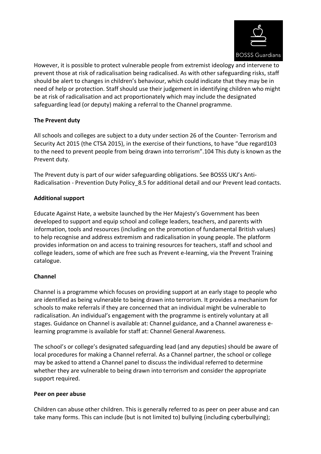

However, it is possible to protect vulnerable people from extremist ideology and intervene to prevent those at risk of radicalisation being radicalised. As with other safeguarding risks, staff should be alert to changes in children's behaviour, which could indicate that they may be in need of help or protection. Staff should use their judgement in identifying children who might be at risk of radicalisation and act proportionately which may include the designated safeguarding lead (or deputy) making a referral to the Channel programme.

## **The Prevent duty**

All schools and colleges are subject to a duty under section 26 of the Counter- Terrorism and Security Act 2015 (the CTSA 2015), in the exercise of their functions, to have "due regard103 to the need to prevent people from being drawn into terrorism".104 This duty is known as the Prevent duty.

The Prevent duty is part of our wider safeguarding obligations. See BOSSS UKJ's Anti-Radicalisation - Prevention Duty Policy 8.5 for additional detail and our Prevent lead contacts.

## **Additional support**

Educate Against Hate, a website launched by the Her Majesty's Government has been developed to support and equip school and college leaders, teachers, and parents with information, tools and resources (including on the promotion of fundamental British values) to help recognise and address extremism and radicalisation in young people. The platform provides information on and access to training resources for teachers, staff and school and college leaders, some of which are free such as Prevent e-learning, via the Prevent Training catalogue.

## **Channel**

Channel is a programme which focuses on providing support at an early stage to people who are identified as being vulnerable to being drawn into terrorism. It provides a mechanism for schools to make referrals if they are concerned that an individual might be vulnerable to radicalisation. An individual's engagement with the programme is entirely voluntary at all stages. Guidance on Channel is available at: Channel guidance, and a Channel awareness elearning programme is available for staff at: Channel General Awareness.

The school's or college's designated safeguarding lead (and any deputies) should be aware of local procedures for making a Channel referral. As a Channel partner, the school or college may be asked to attend a Channel panel to discuss the individual referred to determine whether they are vulnerable to being drawn into terrorism and consider the appropriate support required.

## **Peer on peer abuse**

Children can abuse other children. This is generally referred to as peer on peer abuse and can take many forms. This can include (but is not limited to) bullying (including cyberbullying);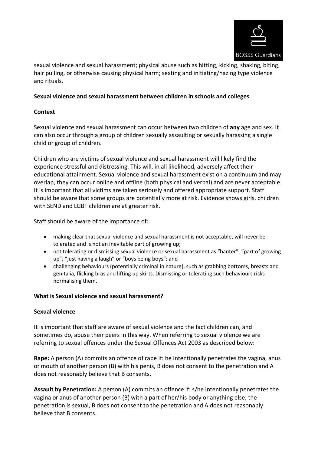

sexual violence and sexual harassment; physical abuse such as hitting, kicking, shaking, biting, hair pulling, or otherwise causing physical harm; sexting and initiating/hazing type violence and rituals.

## **Sexual violence and sexual harassment between children in schools and colleges**

## **Context**

Sexual violence and sexual harassment can occur between two children of **any** age and sex. It can also occur through a group of children sexually assaulting or sexually harassing a single child or group of children.

Children who are victims of sexual violence and sexual harassment will likely find the experience stressful and distressing. This will, in all likelihood, adversely affect their educational attainment. Sexual violence and sexual harassment exist on a continuum and may overlap, they can occur online and offline (both physical and verbal) and are never acceptable. It is important that all victims are taken seriously and offered appropriate support. Staff should be aware that some groups are potentially more at risk. Evidence shows girls, children with SEND and LGBT children are at greater risk.

Staff should be aware of the importance of:

- making clear that sexual violence and sexual harassment is not acceptable, will never be tolerated and is not an inevitable part of growing up;
- not tolerating or dismissing sexual violence or sexual harassment as "banter", "part of growing up", "just having a laugh" or "boys being boys"; and
- challenging behaviours (potentially criminal in nature), such as grabbing bottoms, breasts and genitalia, flicking bras and lifting up skirts. Dismissing or tolerating such behaviours risks normalising them.

## **What is Sexual violence and sexual harassment?**

## **Sexual violence**

It is important that staff are aware of sexual violence and the fact children can, and sometimes do, abuse their peers in this way. When referring to sexual violence we are referring to sexual offences under the Sexual Offences Act 2003 as described below:

**Rape:** A person (A) commits an offence of rape if: he intentionally penetrates the vagina, anus or mouth of another person (B) with his penis, B does not consent to the penetration and A does not reasonably believe that B consents.

**Assault by Penetration:** A person (A) commits an offence if: s/he intentionally penetrates the vagina or anus of another person (B) with a part of her/his body or anything else, the penetration is sexual, B does not consent to the penetration and A does not reasonably believe that B consents.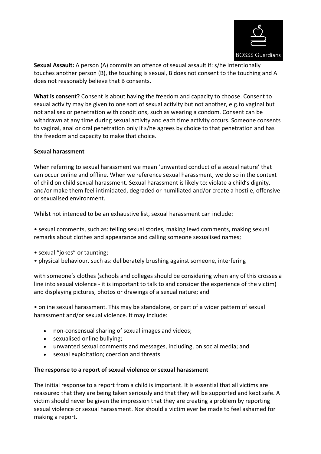

**Sexual Assault:** A person (A) commits an offence of sexual assault if: s/he intentionally touches another person (B), the touching is sexual, B does not consent to the touching and A does not reasonably believe that B consents.

**What is consent?** Consent is about having the freedom and capacity to choose. Consent to sexual activity may be given to one sort of sexual activity but not another, e.g.to vaginal but not anal sex or penetration with conditions, such as wearing a condom. Consent can be withdrawn at any time during sexual activity and each time activity occurs. Someone consents to vaginal, anal or oral penetration only if s/he agrees by choice to that penetration and has the freedom and capacity to make that choice.

#### **Sexual harassment**

When referring to sexual harassment we mean 'unwanted conduct of a sexual nature' that can occur online and offline. When we reference sexual harassment, we do so in the context of child on child sexual harassment. Sexual harassment is likely to: violate a child's dignity, and/or make them feel intimidated, degraded or humiliated and/or create a hostile, offensive or sexualised environment.

Whilst not intended to be an exhaustive list, sexual harassment can include:

• sexual comments, such as: telling sexual stories, making lewd comments, making sexual remarks about clothes and appearance and calling someone sexualised names;

- sexual "jokes" or taunting;
- physical behaviour, such as: deliberately brushing against someone, interfering

with someone's clothes (schools and colleges should be considering when any of this crosses a line into sexual violence - it is important to talk to and consider the experience of the victim) and displaying pictures, photos or drawings of a sexual nature; and

• online sexual harassment. This may be standalone, or part of a wider pattern of sexual harassment and/or sexual violence. It may include:

- non-consensual sharing of sexual images and videos;
- sexualised online bullying;
- unwanted sexual comments and messages, including, on social media; and
- sexual exploitation; coercion and threats

#### **The response to a report of sexual violence or sexual harassment**

The initial response to a report from a child is important. It is essential that all victims are reassured that they are being taken seriously and that they will be supported and kept safe. A victim should never be given the impression that they are creating a problem by reporting sexual violence or sexual harassment. Nor should a victim ever be made to feel ashamed for making a report.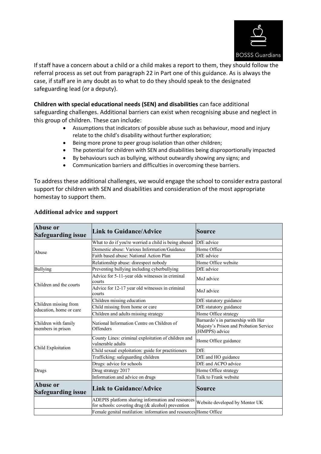

If staff have a concern about a child or a child makes a report to them, they should follow the referral process as set out from paragraph 22 in Part one of this guidance. As is always the case, if staff are in any doubt as to what to do they should speak to the designated safeguarding lead (or a deputy).

#### **Children with special educational needs (SEN) and disabilities** can face additional

safeguarding challenges. Additional barriers can exist when recognising abuse and neglect in this group of children. These can include:

- Assumptions that indicators of possible abuse such as behaviour, mood and injury relate to the child's disability without further exploration;
- Being more prone to peer group isolation than other children;
- The potential for children with SEN and disabilities being disproportionally impacted
- By behaviours such as bullying, without outwardly showing any signs; and
- Communication barriers and difficulties in overcoming these barriers.

To address these additional challenges, we would engage the school to consider extra pastoral support for children with SEN and disabilities and consideration of the most appropriate homestay to support them.

| <b>Abuse or</b><br><b>Safeguarding issue</b>     | <b>Link to Guidance/Advice</b>                                                                         | Source                                                                                         |
|--------------------------------------------------|--------------------------------------------------------------------------------------------------------|------------------------------------------------------------------------------------------------|
|                                                  | What to do if you're worried a child is being abused                                                   | DfE advice                                                                                     |
| Abuse                                            | Domestic abuse: Various Information/Guidance                                                           | Home Office                                                                                    |
|                                                  | Faith based abuse: National Action Plan                                                                | DfE advice                                                                                     |
|                                                  | Relationship abuse: disrespect nobody                                                                  | Home Office website                                                                            |
| <b>Bullying</b>                                  | Preventing bullying including cyberbullying                                                            | DfE advice                                                                                     |
| Children and the courts                          | Advice for 5-11-year olds witnesses in criminal<br>courts                                              | MoJ advice                                                                                     |
|                                                  | Advice for 12-17 year old witnesses in criminal<br>courts                                              | MoJ advice                                                                                     |
|                                                  | Children missing education                                                                             | DfE statutory guidance                                                                         |
| Children missing from<br>education, home or care | Child missing from home or care                                                                        | DfE statutory guidance                                                                         |
|                                                  | Children and adults missing strategy                                                                   | Home Office strategy                                                                           |
| Children with family<br>members in prison        | National Information Centre on Children of<br><b>Offenders</b>                                         | Barnardo's in partnership with Her<br>Majesty's Prison and Probation Service<br>(HMPPS) advice |
| Child Exploitation                               | County Lines: criminal exploitation of children and<br>vulnerable adults                               | Home Office guidance                                                                           |
|                                                  | Child sexual exploitation: guide for practitioners                                                     | <b>DfE</b>                                                                                     |
|                                                  | Trafficking: safeguarding children                                                                     | DfE and HO guidance                                                                            |
|                                                  | Drugs: advice for schools                                                                              | DfE and ACPO advice                                                                            |
| Drugs                                            | Drug strategy 2017                                                                                     | Home Office strategy                                                                           |
|                                                  | Information and advice on drugs                                                                        | Talk to Frank website                                                                          |
| <b>Abuse or</b><br><b>Safeguarding issue</b>     | <b>Link to Guidance/Advice</b>                                                                         | Source                                                                                         |
|                                                  | ADEPIS platform sharing information and resources<br>for schools: covering drug (& alcohol) prevention | Website developed by Mentor UK                                                                 |
|                                                  | Female genital mutilation: information and resources Home Office                                       |                                                                                                |

#### **Additional advice and support**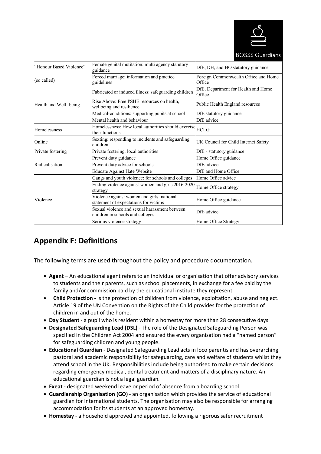

**BOSSS Guardians** 

| "Honour Based Violence" | Female genital mutilation: multi agency statutory<br>guidance                       | DfE, DH, and HO statutory guidance             |
|-------------------------|-------------------------------------------------------------------------------------|------------------------------------------------|
| (so called)             | Forced marriage: information and practice<br>guidelines                             | Foreign Commonwealth Office and Home<br>Office |
|                         | Fabricated or induced illness: safeguarding children                                | DfE, Department for Health and Home<br>Office  |
| Health and Well- being  | Rise Above: Free PSHE resources on health,<br>wellbeing and resilience              | Public Health England resources                |
|                         | Medical-conditions: supporting pupils at school                                     | DfE statutory guidance                         |
|                         | Mental health and behaviour                                                         | DfE advice                                     |
| <b>Homelessness</b>     | Homelessness: How local authorities should exercise HCLG<br>their functions         |                                                |
| Online                  | Sexting: responding to incidents and safeguarding<br>children                       | UK Council for Child Internet Safety           |
| Private fostering       | Private fostering: local authorities                                                | DfE - statutory guidance                       |
|                         | Prevent duty guidance                                                               | Home Office guidance                           |
| Radicalisation          | Prevent duty advice for schools                                                     | DfE advice                                     |
|                         | <b>Educate Against Hate Website</b>                                                 | DfE and Home Office                            |
|                         | Gangs and youth violence: for schools and colleges                                  | Home Office advice                             |
|                         | Ending violence against women and girls 2016-2020<br>strategy                       | Home Office strategy                           |
| Violence                | Violence against women and girls: national<br>statement of expectations for victims | Home Office guidance                           |
|                         | Sexual violence and sexual harassment between<br>children in schools and colleges   | DfE advice                                     |
|                         | Serious violence strategy                                                           | Home Office Strategy                           |

## **Appendix F: Definitions**

The following terms are used throughout the policy and procedure documentation.

- **Agent**  An educational agent refers to an individual or organisation that offer advisory services to students and their parents, such as school placements, in exchange for a fee paid by the family and/or commission paid by the educational institute they represent.
- **Child Protection -** is the protection of children from violence, exploitation, abuse and neglect. Article 19 of the UN Convention on the Rights of the Child provides for the protection of children in and out of the home.
- **Day Student**  a pupil who is resident within a homestay for more than 28 consecutive days.
- **Designated Safeguarding Lead (DSL)**  The role of the Designated Safeguarding Person was specified in the Children Act 2004 and ensured the every organisation had a "named person" for safeguarding children and young people.
- **Educational Guardian**  Designated Safeguarding Lead acts in loco parentis and has overarching pastoral and academic responsibility for safeguarding, care and welfare of students whilst they attend school in the UK. Responsibilities include being authorised to make certain decisions regarding emergency medical, dental treatment and matters of a disciplinary nature. An educational guardian is not a legal guardian.
- **Exeat**  designated weekend leave or period of absence from a boarding school.
- **Guardianship Organisation (GO)**  an organisation which provides the service of educational guardian for international students. The organisation may also be responsible for arranging accommodation for its students at an approved homestay.
- **Homestay**  a household approved and appointed, following a rigorous safer recruitment